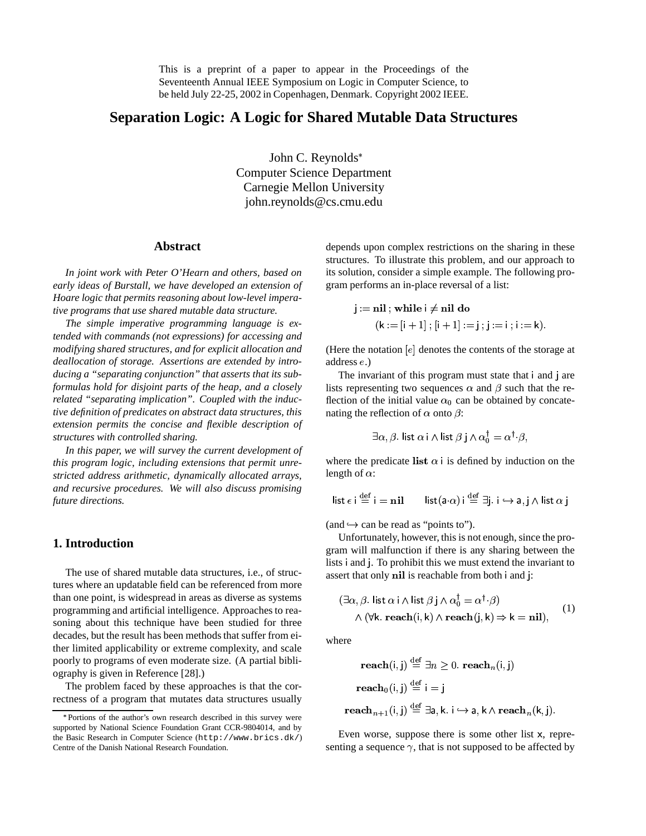This is a preprint of a paper to appear in the Proceedings of the Seventeenth Annual IEEE Symposium on Logic in Computer Science, to be held July 22-25, 2002 in Copenhagen, Denmark. Copyright 2002 IEEE.

# **Separation Logic: A Logic for Shared Mutable Data Structures**

John C. Reynolds Computer Science Department Carnegie Mellon University john.reynolds@cs.cmu.edu

#### **Abstract**

*In joint work with Peter O'Hearn and others, based on early ideas of Burstall, we have developed an extension of Hoare logic that permits reasoning about low-level imperative programs that use shared mutable data structure.*

*The simple imperative programming language is extended with commands (not expressions) for accessing and modifying shared structures, and for explicit allocation and deallocation of storage. Assertions are extended by introducing a "separating conjunction" that asserts that its subformulas hold for disjoint parts of the heap, and a closely related "separating implication". Coupled with the inductive definition of predicates on abstract data structures, this extension permits the concise and flexible description of structures with controlled sharing.*

*In this paper, we will survey the current development of this program logic, including extensions that permit unrestricted address arithmetic, dynamically allocated arrays, and recursive procedures. We will also discuss promising future directions.*

## **1. Introduction**

The use of shared mutable data structures, i.e., of structures where an updatable field can be referenced from more than one point, is widespread in areas as diverse as systems programming and artificial intelligence. Approaches to reasoning about this technique have been studied for three decades, but the result has been methods that suffer from either limited applicability or extreme complexity, and scale poorly to programs of even moderate size. (A partial bibliography is given in Reference [28].)

The problem faced by these approaches is that the correctness of a program that mutates data structures usually depends upon complex restrictions on the sharing in these structures. To illustrate this problem, and our approach to its solution, consider a simple example. The following program performs an in-place reversal of a list:

$$
\begin{aligned} \mathbf{j} &:= \mathbf{nil}\,; \mathbf{while}\, \mathbf{i} \neq \mathbf{nil}\,\mathbf{do}\\ (\mathbf{k} &:= [\mathbf{i} + 1]\,; [\mathbf{i} + 1] := \mathbf{j}\,; \mathbf{j} := \mathbf{i}\,; \mathbf{i} := \mathbf{k}).\end{aligned}
$$

(Here the notation  $[e]$  denotes the contents of the storage at address  $e$ .)

The invariant of this program must state that  $\mathsf{I}$  and  $\mathsf{J}$  are lists representing two sequences  $\alpha$  and  $\beta$  such that the reflection of the initial value  $\alpha_0$  can be obtained by concatenating the reflection of  $\alpha$  onto  $\beta$ :

$$
\exists \alpha, \beta.
$$
 list  $\alpha$  i  $\wedge$  list  $\beta$  j  $\wedge$   $\alpha_0^{\dagger} = \alpha^{\dagger} \cdot \beta$ ,

where the predicate list  $\alpha$  i is defined by induction on the length of  $\alpha$ :

$$
\mathsf{list} \,\epsilon \, \mathsf{i} \stackrel{\mathsf{def}}{=} \mathsf{i} = \mathbf{nil} \qquad \mathsf{list}(\mathsf{a} \cdot \alpha) \, \mathsf{i} \stackrel{\mathsf{def}}{=} \exists \mathsf{j}. \, \mathsf{i} \hookrightarrow \mathsf{a}, \mathsf{j} \wedge \mathsf{list} \, \alpha \, \mathsf{j}
$$

 $(and \rightarrow can be read as "points to").$ 

Unfortunately, however, this is not enough, since the program will malfunction if there is any sharing between the lists i and j. To prohibit this we must extend the invariant to assert that only nil is reachable from both i and j:

$$
(\exists \alpha, \beta \text{. list } \alpha \text{ i } \land \text{ list } \beta \text{ } j \land \alpha_0^{\dagger} = \alpha^{\dagger} \cdot \beta)
$$
  
 
$$
\land \text{ } (\forall k \text{. reach}(i, k) \land \text{reach}(i, k) \Rightarrow k = \text{nil}),
$$
 (1)

where

$$
\begin{aligned}\n\textbf{reach}(i,j) & \stackrel{\text{def}}{=} \exists n \ge 0. \, \textbf{reach}_n(i,j) \\
\textbf{reach}_0(i,j) & \stackrel{\text{def}}{=} i = j \\
\textbf{reach}_{n+1}(i,j) & \stackrel{\text{def}}{=} \exists a, k. \, i \leftrightarrow a, k \land \textbf{reach}_n(k,j).\n\end{aligned}
$$

Even worse, suppose there is some other list  $x$ , representing a sequence  $\gamma$ , that is not supposed to be affected by

Portions of the author's own research described in this survey were supported by National Science Foundation Grant CCR-9804014, and by the Basic Research in Computer Science (http://www.brics.dk/) Centre of the Danish National Research Foundation.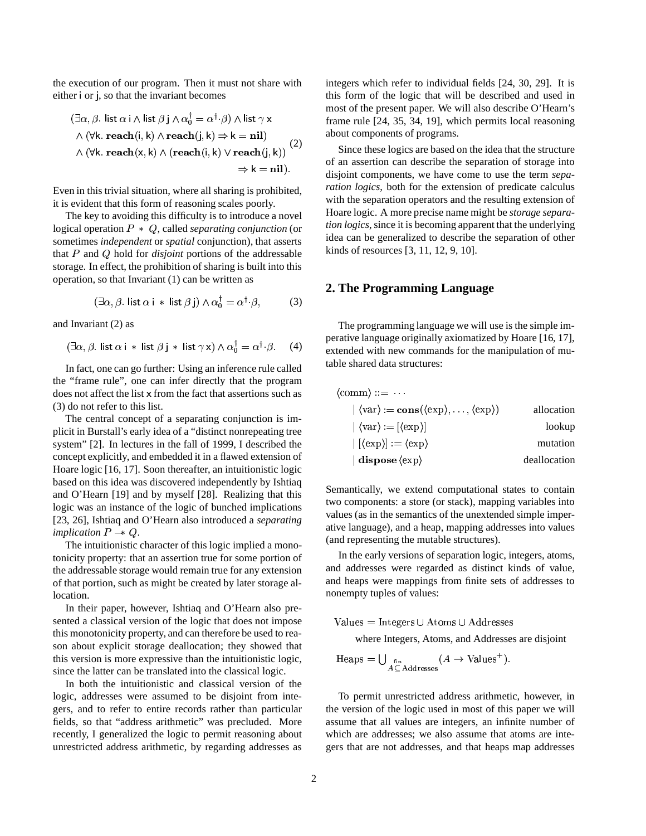the execution of our program. Then it must not share with either  $\overline{\phantom{a}}$  or  $\overline{\phantom{a}}$ , so that the invariant becomes

$$
(\exists \alpha, \beta. \text{ list } \alpha \text{ i } \land \text{ list } \beta \text{ j } \land \alpha_0^{\dagger} = \alpha^{\dagger} \cdot \beta) \land \text{ list } \gamma \times
$$
  
 
$$
\land (\forall k. \text{ reach}(i, k) \land \text{ reach}(j, k) \Rightarrow k = \text{nil})
$$
  
 
$$
\land (\forall k. \text{ reach}(x, k) \land (\text{reach}(i, k) \lor \text{reach}(j, k)) \Rightarrow k = \text{nil}).
$$

Even in this trivial situation, where all sharing is prohibited, it is evident that this form of reasoning scales poorly.

The key to avoiding this difficulty is to introduce a novel logical operation  $P * Q$ , called *separating conjunction* (or sometimes *independent* or *spatial* conjunction), that asserts that  $P$  and  $Q$  hold for *disjoint* portions of the addressable storage. In effect, the prohibition of sharing is built into this operation, so that Invariant (1) can be written as

$$
(\exists \alpha, \beta \text{. list } \alpha \text{ i } * \text{ list } \beta \text{ j}) \land \alpha_0^{\dagger} = \alpha^{\dagger} \cdot \beta, \tag{3}
$$

and Invariant (2) as

$$
(\exists \alpha, \beta \text{. list } \alpha \text{ i } * \text{ list } \beta \text{ j } * \text{ list } \gamma \text{ x)} \land \alpha_0^\dagger = \alpha^\dagger \cdot \beta. \tag{4}
$$

In fact, one can go further: Using an inference rule called the "frame rule", one can infer directly that the program does not affect the list x from the fact that assertions such as (3) do not refer to this list.

The central concept of a separating conjunction is implicit in Burstall's early idea of a "distinct nonrepeating tree system" [2]. In lectures in the fall of 1999, I described the concept explicitly, and embedded it in a flawed extension of Hoare logic [16, 17]. Soon thereafter, an intuitionistic logic based on this idea was discovered independently by Ishtiaq and O'Hearn [19] and by myself [28]. Realizing that this logic was an instance of the logic of bunched implications [23, 26], Ishtiaq and O'Hearn also introduced a *separating implication*  $P \rightarrow Q$ .

The intuitionistic character of this logic implied a monotonicity property: that an assertion true for some portion of the addressable storage would remain true for any extension of that portion, such as might be created by later storage allocation.

In their paper, however, Ishtiaq and O'Hearn also presented a classical version of the logic that does not impose this monotonicity property, and can therefore be used to reason about explicit storage deallocation; they showed that this version is more expressive than the intuitionistic logic, since the latter can be translated into the classical logic.

In both the intuitionistic and classical version of the logic, addresses were assumed to be disjoint from integers, and to refer to entire records rather than particular fields, so that "address arithmetic" was precluded. More recently, I generalized the logic to permit reasoning about unrestricted address arithmetic, by regarding addresses as

integers which refer to individual fields [24, 30, 29]. It is this form of the logic that will be described and used in most of the present paper. We will also describe O'Hearn's frame rule [24, 35, 34, 19], which permits local reasoning about components of programs.

Since these logics are based on the idea that the structure of an assertion can describe the separation of storage into disjoint components, we have come to use the term *separation logics*, both for the extension of predicate calculus with the separation operators and the resulting extension of Hoare logic. A more precise name might be *storage separation logics*, since it is becoming apparent that the underlying idea can be generalized to describe the separation of other kinds of resources [3, 11, 12, 9, 10].

# **2. The Programming Language**

The programming language we will use is the simple imperative language originally axiomatized by Hoare [16, 17], extended with new commands for the manipulation of mutable shared data structures:

 $\langle \text{comm} \rangle ::= \cdots$ 

| $\langle \text{var} \rangle := \mathbf{cons}(\langle \text{exp} \rangle, \dots, \langle \text{exp} \rangle)$ | allocation   |
|--------------------------------------------------------------------------------------------------------------|--------------|
| $ \langle \text{var} \rangle := [\langle \text{exp} \rangle]$                                                | lookup       |
| $ \left[ \langle \exp \rangle \right] := \langle \exp \rangle$                                               | mutation     |
| $\vert$ dispose $\langle$ exp $\rangle$                                                                      | deallocation |

Semantically, we extend computational states to contain two components: a store (or stack), mapping variables into values (as in the semantics of the unextended simple imperative language), and a heap, mapping addresses into values (and representing the mutable structures).

In the early versions of separation logic, integers, atoms, and addresses were regarded as distinct kinds of value, and heaps were mappings from finite sets of addresses to nonempty tuples of values:

 $Values = Integers \cup Atoms \cup Addresses$ 

where Integers, Atoms, and Addresses are disjoint

Heaps = 
$$
\bigcup_{A \subseteq \text{Addresses}} (A \to \text{Values}^+).
$$

To permit unrestricted address arithmetic, however, in the version of the logic used in most of this paper we will assume that all values are integers, an infinite number of which are addresses; we also assume that atoms are integers that are not addresses, and that heaps map addresses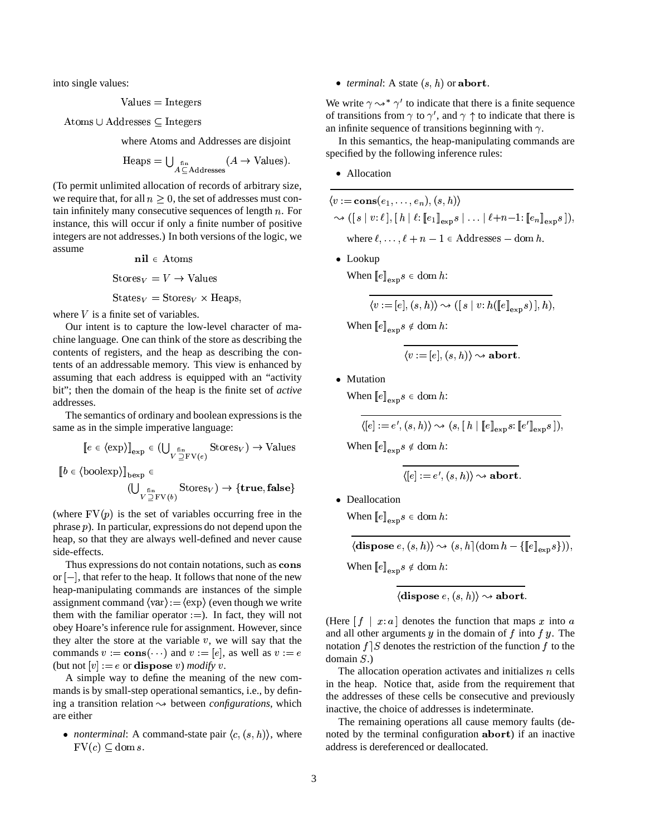into single values:

$$
Values = Integer
$$

 $\mathcal{A}=\mathcal{A}^*$  . The set of the set of the set of the set of the set of the set of the set of the set of the set of the set of the set of the set of the set of the set of the set of the set of the set of the set of the

where Atoms and Addresses are disjoint

$$
\mathrm{Heaps} = \bigcup\nolimits_{A \subseteq \mathrm{Addresses}} (A \to \mathrm{Values}).
$$

(To permit unlimited allocation of records of arbitrary size, we require that, for all  $n \geq 0$ , the set of addresses must contain infinitely many consecutive sequences of length  $n$ . For instance, this will occur if only a finite number of positive integers are not addresses.) In both versions of the logic, we assume

$$
\begin{aligned}\n\text{nil} &\in \text{Atoms} \\
\text{Stores}_{V} &= V \rightarrow \text{Values} \\
\text{States}_{V} &= \text{Stores}_{V} \times \text{Heaps}, \\
\text{inite set of variables}\n\end{aligned}
$$

 $\sim$  . And the set of the set of the set of the set of the set of the set of the set of the set of the set of the set of the set of the set of the set of the set of the set of the set of the set of the set of the set of t

where  $V$  is a finite set of variables.

Our intent is to capture the low-level character of machine language. One can think of the store as describing the contents of registers, and the heap as describing the contents of an addressable memory. This view is enhanced by assuming that each address is equipped with an "activity bit"; then the domain of the heap is the finite set of *active* addresses.

The semantics of ordinary and boolean expressions is the same as in the simple imperative language:

$$
[\![e \in \langle \exp \rangle]_{\text{exp}} \in (\bigcup_{V \supseteq \text{FV}(e)} \text{Stores}_V) \to \text{Values}
$$
  

$$
[\![b \in \langle \text{boolean} \rangle]_{\text{bexp}} \in (\bigcup_{V \supseteq \text{FV}(b)} \text{Stores}_V) \to \{\text{true}, \text{false}\}
$$

(where  $FV(p)$  is the set of variables occurring free in the phrase  $p$ ). In particular, expressions do not depend upon the heap, so that they are always well-defined and never cause side-effects.

Thus expressions do not contain notations, such as **cons** or  $[-]$ , that refer to the heap. It follows that none of the new heap-manipulating commands are instances of the simple assignment command  $\langle var \rangle := \langle exp \rangle$  (even though we write them with the familiar operator  $:=$ ). In fact, they will not obey Hoare's inference rule for assignment. However, since they alter the store at the variable  $v$ , we will say that the commands  $v := \mathbf{cons}(\cdots)$  and  $v := [e]$ , as well as  $v := e$ (but not  $[v] := e$  or **dispose** v) modify v.

A simple way to define the meaning of the new commands is by small-step operational semantics, i.e., by defining a transition relation  $\rightarrow$  between *configurations*, which are either

• *nonterminal*: A command-state pair  $\langle c, (s, h) \rangle$ , where  $\text{FV}(c) \subseteq \text{dom } s.$ 

• *terminal*: A state  $(s, h)$  or **abort**.

We write  $\gamma \rightarrow^* \gamma'$  to indicate that there is a finite sequence of transitions from  $\gamma$  to  $\gamma'$ , and  $\gamma \uparrow$  to indicate that there is an infinite sequence of transitions beginning with  $\gamma$ .

In this semantics, the heap-manipulating commands are specified by the following inference rules:

• Allocation

$$
\langle v := \mathbf{cons}(e_1, \dots, e_n), (s, h) \rangle
$$
  
\n
$$
\sim ([s \mid v : \ell], [h \mid \ell : [\![ e_1 ]\!]_{\exp} s \mid \dots \mid \ell + n - 1 : [\![ e_n ]\!]_{\exp} s \mid),
$$
  
\nwhere  $\ell, \dots, \ell + n - 1 \in \text{Address} - \text{dom } h.$ 

• Lookup

When  $\llbracket e \rrbracket_{\text{exp}} s \in \text{dom } h$ :

$$
\langle v:=[e], (s,h)\rangle\leadsto ([\,s\mid v\colon h(\llbracket e\rrbracket_{\exp} s)\,],h),
$$

When  $\llbracket e \rrbracket_{\text{exp}} s \notin \text{dom } h$ :

$$
\langle v:=[e], (s,h)\rangle \leadsto {\bf abort}.
$$

• Mutation

When  $\llbracket e \rrbracket_{\text{exp}} s \in \text{dom } h$ :

$$
\langle [e] := e', (s, h) \rangle \rightsquigarrow (s, [h \mid [[e]_{\exp} s : [[e']]_{\exp} s]),
$$

When  $\llbracket e \rrbracket_{\text{exp}} s \notin \text{dom } h$ :

$$
\langle [e] := e', (s,h) \rangle \leadsto \textbf{abort}.
$$

• Deallocation

When  $\llbracket e \rrbracket_{\text{exp}} s \in \text{dom } h$ :

 $\langle {\bf dispose}\ e, (s,h) \rangle \leadsto (s,h]\left( {\rm dom}\ h-\{\llbracket e \rrbracket_{{\bf exp}} s\}\right)),$ 

When  $\llbracket e \rrbracket_{\text{exp}} s \notin \text{dom } h$ :

$$
\langle \textbf{dispose }e,(s,h)\rangle \!\rightsquigarrow \textbf{abort}.
$$

(Here  $[f \mid x : a]$  denotes the function that maps x into a and all other arguments  $y$  in the domain of  $f$  into  $f y$ . The notation  $f$  S denotes the restriction of the function  $f$  to the domain  $S$ .)

The allocation operation activates and initializes  $n$  cells in the heap. Notice that, aside from the requirement that the addresses of these cells be consecutive and previously inactive, the choice of addresses is indeterminate.

The remaining operations all cause memory faults (denoted by the terminal configuration **abort**) if an inactive address is dereferenced or deallocated.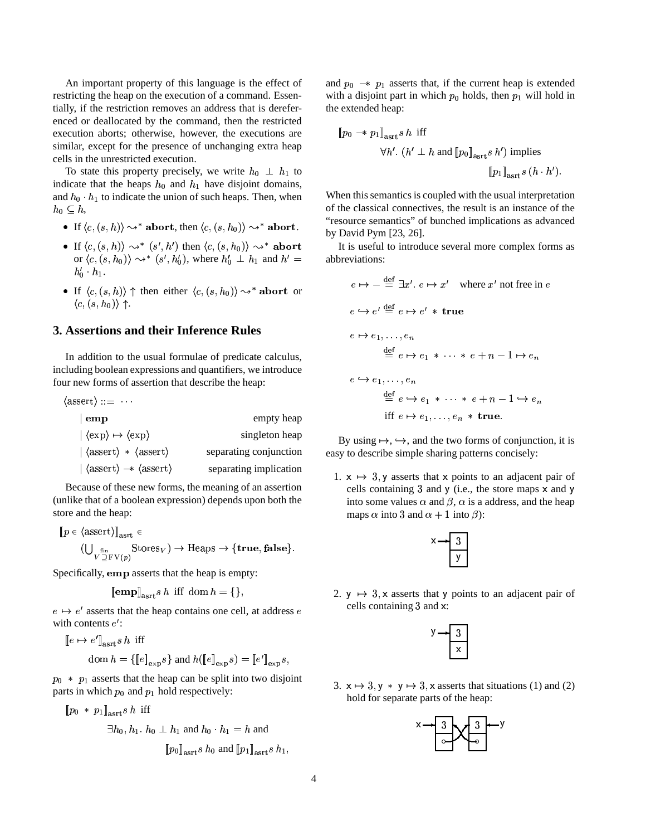An important property of this language is the effect of restricting the heap on the execution of a command. Essentially, if the restriction removes an address that is dereferenced or deallocated by the command, then the restricted execution aborts; otherwise, however, the executions are similar, except for the presence of unchanging extra heap cells in the unrestricted execution.

To state this property precisely, we write  $h_0 \perp h_1$  to indicate that the heaps  $h_0$  and  $h_1$  have disjoint domains, and  $h_0 \cdot h_1$  to indicate the union of such heaps. Then, when  $h_0\subseteq h$ ,

- If  $\langle c, (s, h) \rangle \rightsquigarrow^*$  abort, then  $\langle c, (s, h_0) \rangle \rightsquigarrow^*$  abort.
- If  $\langle c, (s, h) \rangle \rightsquigarrow^* (s', h')$  then  $\langle c, (s, h_0) \rangle \rightsquigarrow^*$  abort or  $\langle c, (s, h_0) \rangle \rightsquigarrow^* (s', h'_0)$ , where  $h'_0 \perp h_1$  and  $h' =$  abbreviat  $h'_0 \cdot h_1$ .
- If  $\langle c, (s, h) \rangle \uparrow$  then either  $\langle c, (s, h_0) \rangle \rightarrow^*$  abort or  $\langle c, (s, h_0) \rangle \uparrow$ .

# **3. Assertions and their Inference Rules**

In addition to the usual formulae of predicate calculus, including boolean expressions and quantifiers, we introduce four new forms of assertion that describe the heap:

| $\langle \text{assert} \rangle ::= \cdots$                                |                        |
|---------------------------------------------------------------------------|------------------------|
| emp                                                                       | empty heap             |
| $ \langle \exp \rangle \mapsto \langle \exp \rangle$                      | singleton heap         |
| $\langle$ (assert) * $\langle$ assert)                                    | separating conjunction |
| $\langle \text{assert} \rangle \rightarrow \langle \text{assert} \rangle$ | separating implication |

Because of these new forms, the meaning of an assertion (unlike that of a boolean expression) depends upon both the store and the heap:

$$
[\![p \in \langle \text{assert} \rangle \!]_{\text{astr}} \in
$$
  

$$
(\bigcup_{\substack{r \text{ in } \\ V \supseteq \text{FV}(p)}} \text{Stores}_V) \to \text{Heaps} \to \{\text{true}, \text{false}\}.
$$

Specifically, emp asserts that the heap is empty:

$$
[\mathbf{emp}]_{\text{asrt}} s \, h \text{ iff } \text{dom } h = \{\},
$$

 $e \mapsto e'$  asserts that the heap contains one cell, at address  $e$ with contents  $e'$ :

$$
[e \mapsto e']_{\text{asrt}} s h \text{ iff}
$$
  
dom  $h = \{ [e]_{\exp} s \}$  and  $h([e]_{\exp} s) = [e']_{\exp} s$ ,

 $p_0 * p_1$  asserts that the heap can be split into two disjoint parts in which  $p_0$  and  $p_1$  hold respectively:

""<sup>+</sup>

$$
p_0 * p_1
$$
<sub>asrt</sub>*s h* iff  
\n $\exists h_0, h_1 \cdot h_0 \perp h_1$  and  $h_0 \cdot h_1 = h$  and  
\n
$$
[p_0]_{asrt} s h_0
$$
 and  $[p_1]_{asrt} s h_1$ ,

and  $p_0 \rightarrow p_1$  asserts that, if the current heap is extended with a disjoint part in which  $p_0$  holds, then  $p_1$  will hold in the extended heap:

$$
[\![p_0 \to p_1]\!]_{\text{asrt}} s \, h \text{ iff}
$$
  

$$
\forall h'. \, (h' \perp h \text{ and } [p_0]\!]_{\text{asrt}} s \, h') \text{ implies}
$$
  

$$
[\![p_1]\!]_{\text{asrt}} s \, (h \cdot h').
$$

When this semantics is coupled with the usual interpretation of the classical connectives, the result is an instance of the "resource semantics" of bunched implications as advanced by David Pym [23, 26].

It is useful to introduce several more complex forms as abbreviations:

$$
e \mapsto -\stackrel{\text{def}}{=} \exists x'. e \mapsto x' \quad \text{where } x' \text{ not free in } e
$$
\n
$$
e \hookrightarrow e' \stackrel{\text{def}}{=} e \mapsto e' * \text{ true}
$$
\n
$$
e \mapsto e_1, \dots, e_n
$$
\n
$$
\stackrel{\text{def}}{=} e \mapsto e_1 * \dots * e + n - 1 \mapsto e_n
$$
\n
$$
e \hookrightarrow e_1, \dots, e_n
$$
\n
$$
\stackrel{\text{def}}{=} e \hookrightarrow e_1 * \dots * e + n - 1 \hookrightarrow e_n
$$
\n
$$
\text{iff } e \mapsto e_1, \dots, e_n * \text{ true.}
$$

By using  $\mapsto$ ,  $\hookrightarrow$ , and the two forms of conjunction, it is easy to describe simple sharing patterns concisely:

1.  $x \mapsto 3$ , y asserts that x points to an adjacent pair of cells containing  $3$  and  $y$  (i.e., the store maps  $x$  and  $y$ into some values  $\alpha$  and  $\beta$ ,  $\alpha$  is a address, and the heap maps  $\alpha$  into 3 and  $\alpha + 1$  into  $\beta$ ):

2.  $y \mapsto 3$ , x asserts that y points to an adjacent pair of cells containing 3 and x:



3.  $x \mapsto 3$ ,  $y * y \mapsto 3$ , x asserts that situations (1) and (2) hold for separate parts of the heap:

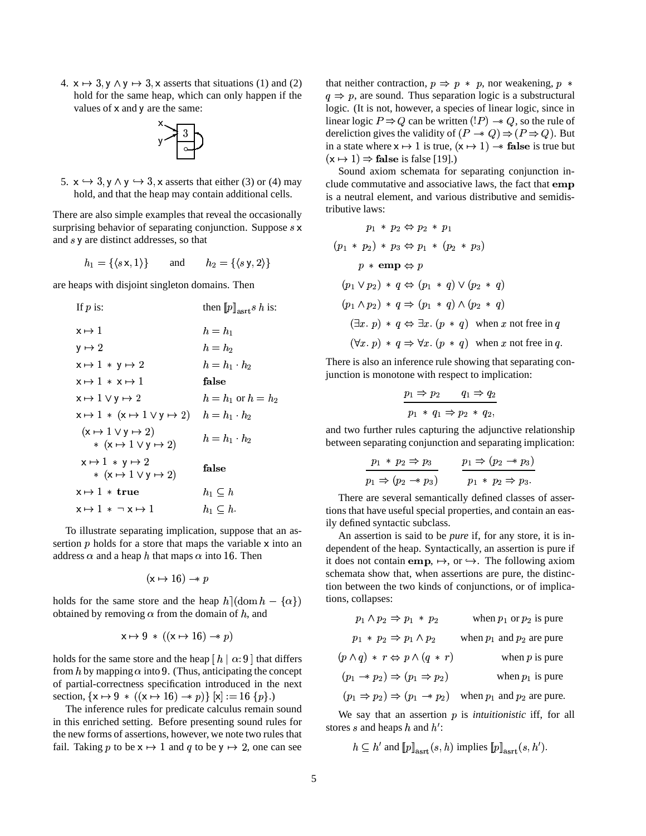4.  $x \mapsto 3$ ,  $y \wedge y \mapsto 3$ , x asserts that situations (1) and (2) hold for the same heap, which can only happen if the values of  $x$  and  $y$  are the same:



5.  $x \leftrightarrow 3$ ,  $y \land y \leftrightarrow 3$ , x asserts that either (3) or (4) may hold, and that the heap may contain additional cells.

There are also simple examples that reveal the occasionally surprising behavior of separating conjunction. Suppose  $s \times$ and  $s \vee$  are distinct addresses, so that

$$
h_1 = \{ \langle s \mathbf{x}, 1 \rangle \} \qquad \text{and} \qquad h_2 = \{ \langle s \mathbf{y}, 2 \rangle \}
$$

are heaps with disjoint singleton domains. Then

| If $p$ is:                                                             | then $[\![p]\!]_{\text{asrt}} s h$ is: |  |
|------------------------------------------------------------------------|----------------------------------------|--|
| $x \mapsto 1$                                                          | $h=h_1$                                |  |
| $y \mapsto 2$                                                          | $h = h_2$                              |  |
| $x \mapsto 1 * y \mapsto 2$                                            | $h = h_1 \cdot h_2$                    |  |
| $x \mapsto 1 \times x \mapsto 1$                                       | false                                  |  |
| $x \mapsto 1 \vee y \mapsto 2$                                         | $h = h_1$ or $h = h_2$                 |  |
| $x \mapsto 1 \cdot (x \mapsto 1 \vee y \mapsto 2)$ $h = h_1 \cdot h_2$ |                                        |  |
| $(x \mapsto 1 \vee y \mapsto 2)$<br>* $(x \mapsto 1 \vee y \mapsto 2)$ | $h = h_1 \cdot h_2$                    |  |
| $x \mapsto 1 * y \mapsto 2$<br>* $(x \mapsto 1 \vee y \mapsto 2)$      | false                                  |  |
| $x \mapsto 1 \ast true$                                                | $h_1\subseteq h$                       |  |
| $x \mapsto 1 \times \neg x \mapsto 1$                                  | $h_1\subset h$ .                       |  |

To illustrate separating implication, suppose that an assertion  $p$  holds for a store that maps the variable  $x$  into an address  $\alpha$  and a heap h that maps  $\alpha$  into 16. Then

$$
(\mathsf{x} \mapsto 16) \twoheadrightarrow p
$$

holds for the same store and the heap  $h$ ] $(\text{dom } h - \{\alpha\})$  tions obtained by removing  $\alpha$  from the domain of h, and

$$
x \mapsto 9 \ast ((x \mapsto 16) \rightarrow p)
$$

holds for the same store and the heap  $\left[\,h\mid\alpha\colon\! 9\,\right]$  that differs from h by mapping  $\alpha$  into 9. (Thus, anticipating the concept of partial-correctness specification introduced in the next section,  $\{x \mapsto 9 \ast ((x \mapsto 16) \rightarrow p)\} [x] := 16 \{p\}.$ 

The inference rules for predicate calculus remain sound in this enriched setting. Before presenting sound rules for the new forms of assertions, however, we note two rules that fail. Taking p to be  $x \mapsto 1$  and q to be  $y \mapsto 2$ , one can see

that neither contraction,  $p \Rightarrow p * p$ , nor weakening,  $p * p$  $q \Rightarrow p$ , are sound. Thus separation logic is a substructural logic. (It is not, however, a species of linear logic, since in linear logic  $P \Rightarrow Q$  can be written  $(!P) \rightarrow Q$ , so the rule of dereliction gives the validity of  $(P \rightarrow Q) \Rightarrow (P \Rightarrow Q)$ . But in a state where  $x \mapsto 1$  is true,  $(x \mapsto 1) \rightarrow$  false is true but  $(x \mapsto 1) \Rightarrow$  false is false [19].)

Sound axiom schemata for separating conjunction include commutative and associative laws, the fact that emp  $\mathbf{p}$ is a neutral element, and various distributive and semidistributive laws:

$$
p_1 * p_2 \Leftrightarrow p_2 * p_1
$$
  
\n
$$
(p_1 * p_2) * p_3 \Leftrightarrow p_1 * (p_2 * p_3)
$$
  
\n
$$
p * \textbf{emp} \Leftrightarrow p
$$
  
\n
$$
(p_1 \vee p_2) * q \Leftrightarrow (p_1 * q) \vee (p_2 * q)
$$
  
\n
$$
(p_1 \wedge p_2) * q \Rightarrow (p_1 * q) \wedge (p_2 * q)
$$
  
\n
$$
(\exists x. p) * q \Leftrightarrow \exists x. (p * q) \text{ when } x \text{ not free in } q
$$
  
\n
$$
(\forall x. p) * q \Rightarrow \forall x. (p * q) \text{ when } x \text{ not free in } q.
$$

There is also an inference rule showing that separating conjunction is monotone with respect to implication:

$$
\frac{p_1 \Rightarrow p_2 \qquad q_1 \Rightarrow q_2}{p_1 \ast q_1 \Rightarrow p_2 \ast q_2},
$$

and two further rules capturing the adjunctive relationship between separating conjunction and separating implication:

$$
\frac{p_1 \ast p_2 \Rightarrow p_3}{p_1 \Rightarrow (p_2 \rightarrow p_3)} \qquad \frac{p_1 \Rightarrow (p_2 \rightarrow p_3)}{p_1 \ast p_2 \Rightarrow p_3}.
$$

+e [ <sup>+</sup>

There are several semantically defined classes of assertions that have useful special properties, and contain an easily defined syntactic subclass.

An assertion is said to be *pure* if, for any store, it is independent of the heap. Syntactically, an assertion is pure if it does not contain **emp**,  $\mapsto$ , or  $\hookrightarrow$ . The following axiom schemata show that, when assertions are pure, the distinction between the two kinds of conjunctions, or of implications, collapses:

$$
p_1 \land p_2 \Rightarrow p_1 * p_2 \qquad \text{when } p_1 \text{ or } p_2 \text{ is pure}
$$
\n
$$
p_1 * p_2 \Rightarrow p_1 \land p_2 \qquad \text{when } p_1 \text{ and } p_2 \text{ are pure}
$$
\n
$$
(p \land q) * r \Leftrightarrow p \land (q * r) \qquad \text{when } p \text{ is pure}
$$
\n
$$
(p_1 \rightarrow p_2) \Rightarrow (p_1 \rightarrow p_2) \qquad \text{when } p_1 \text{ is pure}
$$
\n
$$
(p_1 \Rightarrow p_2) \Rightarrow (p_1 \rightarrow p_2) \qquad \text{when } p_1 \text{ and } p_2 \text{ are pure.}
$$

We say that an assertion  $p$  is *intuitionistic* iff, for all stores s and heaps h and  $h'$ :

 $h \subseteq h'$  and  $[\![p]\!]_{\text{asrt}}(s,h)$  implies  $[\![p]\!]_{\text{asrt}}(s,h').$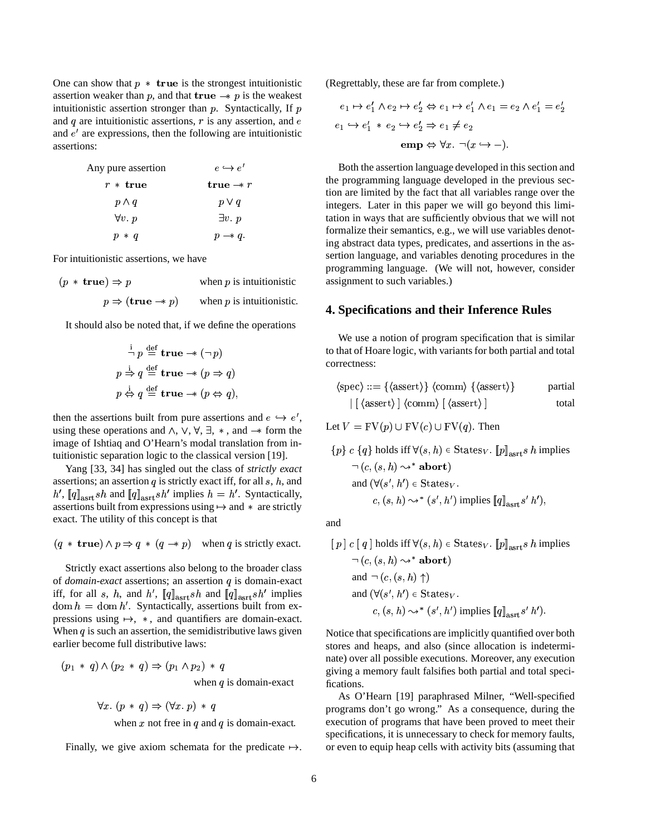One can show that  $p * true$  is the strongest intuitionistic assertion weaker than p, and that  $true \rightarrow p$  is the weakest intuitionistic assertion stronger than  $p$ . Syntactically, If  $p$   $e_1$ and  $q$  are intuitionistic assertions,  $r$  is any assertion, and  $e$ and  $e'$  are expressions, then the following are intuitionistic assertions:

| Any pure assertion | $e \hookrightarrow e'$ |  |
|--------------------|------------------------|--|
| $r * true$         | true $\rightarrow r$   |  |
| $p \wedge q$       | $p \vee q$             |  |
| $\forall v. p$     | $\exists v. p$         |  |
| $p * q$            | $p \rightarrow q$ .    |  |

For intuitionistic assertions, we have

 $(p * true) \Rightarrow p$  w when  $p$  is intuitionistic ++[ <sup>C</sup> V\$  $\rightarrow$  *p*) when *p* is intuitionistic.

It should also be noted that, if we define the operations

$$
\frac{1}{p} p \stackrel{\text{def}}{=} \text{true} \rightarrow (\neg p)
$$
  

$$
p \stackrel{\text{i}}{\Rightarrow} q \stackrel{\text{def}}{=} \text{true} \rightarrow (p \Rightarrow q)
$$
  

$$
p \stackrel{\text{i}}{\Leftrightarrow} q \stackrel{\text{def}}{=} \text{true} \rightarrow (p \Leftrightarrow q),
$$

then the assertions built from pure assertions and  $e \leftrightarrow e',$ using these operations and  $\wedge$ ,  $\vee$ ,  $\forall$ ,  $\exists$ ,  $*$ , and  $-*$  form the image of Ishtiaq and O'Hearn's modal translation from intuitionistic separation logic to the classical version [19].

Yang [33, 34] has singled out the class of *strictly exact* assertions; an assertion  $q$  is strictly exact iff, for all  $s, h$ , and  $[h', \llbracket q \rrbracket_{\text{asrt}}\,sh$  and  $\llbracket q \rrbracket_{\text{asrt}}\,sh'$  implies  $h = h'.$  Syntactically, assertions built from expressions using  $\mapsto$  and  $*$  are strictly exact. The utility of this concept is that

 $(q * \textbf{true}) \land p \Rightarrow q * (q \rightarrow p)$  when q is strictly exact.

Strictly exact assertions also belong to the broader class of *domain-exact* assertions; an assertion  $q$  is domain-exact iff, for all s, h, and h',  $[\![q]\!]_{\text{asrt}} s h$  and  $[\![q]\!]_{\text{asrt}} s h'$  implies dom  $h = \text{dom } h'$ . Syntactically, assertions built from expressions using  $\mapsto$ ,  $\ast$ , and quantifiers are domain-exact. When  $q$  is such an assertion, the semidistributive laws given earlier become full distributive laws:

$$
(p_1 * q) \land (p_2 * q) \Rightarrow (p_1 \land p_2) * q
$$
  
when q is domain-exact

$$
\forall x. (p * q) \Rightarrow (\forall x. p) * q
$$
  
when x not free in q and q is domain-exact.

Finally, we give axiom schemata for the predicate  $\mapsto$ .

(Regrettably, these are far from complete.)

$$
e_1 \mapsto e'_1 \wedge e_2 \mapsto e'_2 \Leftrightarrow e_1 \mapsto e'_1 \wedge e_1 = e_2 \wedge e'_1 = e'_2
$$
  

$$
e_1 \hookrightarrow e'_1 \ast e_2 \hookrightarrow e'_2 \Rightarrow e_1 \neq e_2
$$
  

$$
\text{emp} \Leftrightarrow \forall x. \neg(x \hookrightarrow -).
$$

Both the assertion language developed in this section and the programming language developed in the previous section are limited by the fact that all variables range over the integers. Later in this paper we will go beyond this limitation in ways that are sufficiently obvious that we will not formalize their semantics, e.g., we will use variables denoting abstract data types, predicates, and assertions in the assertion language, and variables denoting procedures in the programming language. (We will not, however, consider assignment to such variables.)

#### **4. Specifications and their Inference Rules**

We use a notion of program specification that is similar to that of Hoare logic, with variants for both partial and total correctness:

$$
\langle spec \rangle ::= \{ \langle assert \rangle \} \langle comm \rangle \{ \langle assert \rangle \} \qquad partial
$$

$$
| \{ \langle assert \rangle \} \langle comm \rangle \{ \langle assert \rangle \} \qquad total
$$

Let  $V = FV(p) \cup FV(c) \cup FV(q)$ . Then

$$
\{p\} c \{q\} holds iff \forall (s, h) \in \text{States}_{V}. \llbracket p \rrbracket_{\text{asrt}} s h \text{ implies}
$$

$$
\neg (c, (s, h) \leadsto^* \textbf{abort})
$$

$$
\text{and } (\forall (s', h') \in \text{States}_{V}.
$$

$$
c, (s, h) \leadsto^* (s', h') \text{ implies } \llbracket q \rrbracket_{\text{asrt}} s' h'),
$$

and

$$
[p] c [q] holds iff \forall (s, h) \in \text{States}_{V}. [p]_{\text{asrt}} s h \text{ implies}
$$

$$
\neg (c, (s, h) \rightsquigarrow^* \text{abort})
$$
  
and 
$$
\neg (c, (s, h) \uparrow)
$$
  
and 
$$
(\forall (s', h') \in \text{States}_{V}.
$$

$$
c, (s, h) \rightsquigarrow^* (s', h') \text{ implies } [q]_{\text{asrt}} s' h').
$$

Notice that specifications are implicitly quantified over both stores and heaps, and also (since allocation is indeterminate) over all possible executions. Moreover, any execution giving a memory fault falsifies both partial and total specifications.

 $\mapsto$ . or even to equip heap cells with activity bits (assuming that As O'Hearn [19] paraphrased Milner, "Well-specified programs don't go wrong." As a consequence, during the execution of programs that have been proved to meet their specifications, it is unnecessary to check for memory faults,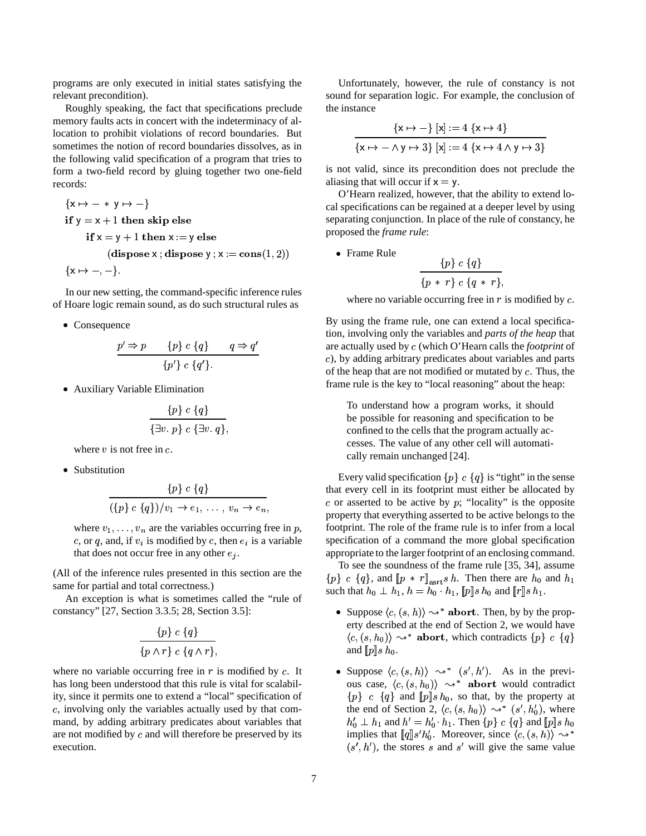programs are only executed in initial states satisfying the relevant precondition).

Roughly speaking, the fact that specifications preclude memory faults acts in concert with the indeterminacy of allocation to prohibit violations of record boundaries. But sometimes the notion of record boundaries dissolves, as in the following valid specification of a program that tries to form a two-field record by gluing together two one-field records:

 $\{x \mapsto -\ * \ y \mapsto -\}$ if y  $=$  x  $+$  1 then skip else  $\textbf{if} \; \textsf{x} = \textsf{v} + 1 \; \textbf{then} \; \textsf{x} := \textsf{v} \; \textbf{else}$  $(\mathbf{dispose}\boxtimes;\mathbf{dispose}\boxtimes;\mathbf{x}:=\mathbf{cons}(1,2))$  $\{x \mapsto -,-\}.$ 

In our new setting, the command-specific inference rules of Hoare logic remain sound, as do such structural rules as

• Consequence

$$
\frac{p' \Rightarrow p \qquad \{p\} \ c \{q\}}{p' \} \ \frac{q \Rightarrow q'}{c}
$$
 a  
or  

$$
\{p'\} \ c \{q'\}.
$$

• Auxiliary Variable Elimination

$$
\frac{\{p\} c \{q\}}{\{\exists v.\ p\} c \{\exists v.\ q\}},
$$

where  $v$  is not free in  $c$ .

• Substitution

$$
\frac{\{p\} c \{q\}}{(\{p\} c \{q\})/v_1 \to e_1, \ldots, v_n \to e_n},
$$
 that

where  $v_1, \ldots, v_n$  are the variables occurring free in p, footpr c, or q, and, if  $v_i$  is modified by c, then  $e_i$  is a variable that does not occur free in any other  $e_i$ .

(All of the inference rules presented in this section are the same for partial and total correctness.)

An exception is what is sometimes called the "rule of constancy" [27, Section 3.3.5; 28, Section 3.5]:

$$
\frac{\{p\} c \{q\}}{\{p \wedge r\} c \{q \wedge r\}},
$$

where no variable occurring free in  $r$  is modified by  $c$ . It has long been understood that this rule is vital for scalability, since it permits one to extend a "local" specification of  $c$ , involving only the variables actually used by that command, by adding arbitrary predicates about variables that are not modified by  $c$  and will therefore be preserved by its execution.

Unfortunately, however, the rule of constancy is not sound for separation logic. For example, the conclusion of the instance

$$
\frac{\{x \mapsto -\} [x] := 4 \{x \mapsto 4\}}{\{x \mapsto - \land y \mapsto 3\} [x] := 4 \{x \mapsto 4 \land y \mapsto 3\}}
$$

is not valid, since its precondition does not preclude the aliasing that will occur if  $x = y$ .

O'Hearn realized, however, that the ability to extend local specifications can be regained at a deeper level by using separating conjunction. In place of the rule of constancy, he proposed the *frame rule*:

• Frame Rule

$$
\frac{\{p\} c\{q\}}{\{p*r\} c\{q*r\}},
$$

 $\blacksquare$ 

where no variable occurring free in  $r$  is modified by  $c$ .

By using the frame rule, one can extend a local specification, involving only the variables and *parts of the heap* that are actually used by c (which O'Hearn calls the *footprint* of  $c$ ), by adding arbitrary predicates about variables and parts of the heap that are not modified or mutated by  $c$ . Thus, the frame rule is the key to "local reasoning" about the heap:

To understand how a program works, it should be possible for reasoning and specification to be confined to the cells that the program actually accesses. The value of any other cell will automatically remain unchanged [24].

Every valid specification  $\{p\}$  c  $\{q\}$  is "tight" in the sense that every cell in its footprint must either be allocated by c or asserted to be active by  $p$ ; "locality" is the opposite property that everything asserted to be active belongs to the footprint. The role of the frame rule is to infer from a local specification of a command the more global specification appropriate to the larger footprint of an enclosing command.

To see the soundness of the frame rule [35, 34], assume  $\{p\}$  c  $\{q\}$ , and  $\llbracket p \cdot r \rrbracket_{\text{asrt}} s h$ . Then there are  $h_0$  and  $h_1$ such that  $h_0 \perp h_1, h = h_0 \cdot h_1$  ,  $[\![p]\!] s \, h_0$  and  $[\![r]\!] s \, h_1$ . <sup>e</sup> <sup>e</sup>

- Suppose  $\langle c, (s, h) \rangle \rightarrow^*$  abort. Then, by by the property described at the end of Section 2, we would have  $\langle c, (s, h_0) \rangle \rightsquigarrow^*$  abort, which contradicts  $\{p\}$  c  $\{q\}$ and  $[\![p]\!]$ s  $h_0$ .
- Suppose  $\langle c, (s, h) \rangle \sim^* (s', h')$ . As in the previous case,  $\langle c, (s, h_0) \rangle \sim^*$  abort would contradict  $\{p\}$  c  $\{q\}$  and  $[\![p]\!] s \, h_0$ , so that, by the property at the end of Section 2,  $\langle c, (s, h_0) \rangle \rightsquigarrow^* (s', h'_0)$ , where  $h'_0 \perp h_1$  and  $h' = h'_0 \cdot h_1$ . Then  $\{p\}$   $c \{q\}$  and  $\llbracket p \rrbracket s \, h_0$ implies that  $\llbracket q \rrbracket s' h_0'$ . Moreover, since  $\langle c, (s, h) \rangle \rightsquigarrow^*$  $(s', h')$ , the stores s and s' will give the same value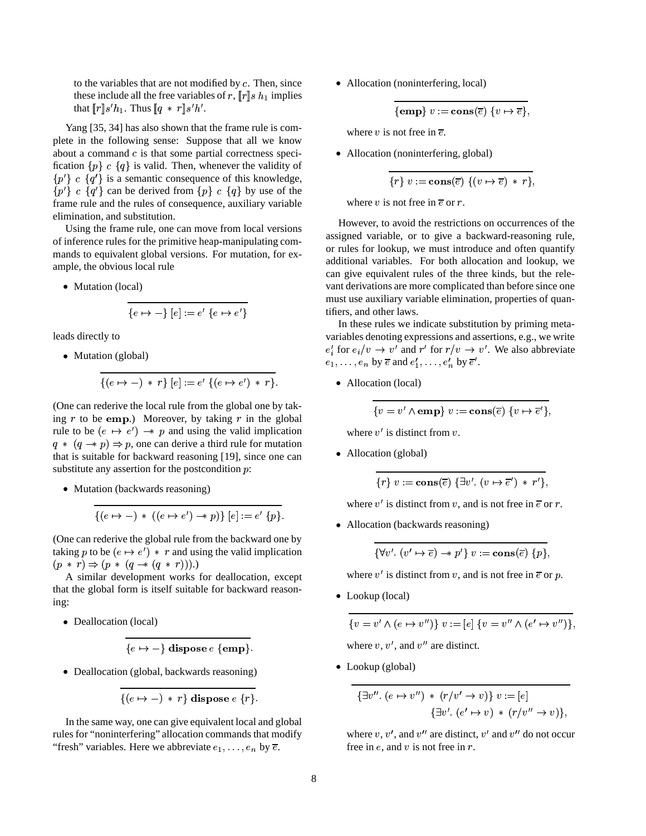to the variables that are not modified by  $c$ . Then, since these include all the free variables of r,  $\llbracket r \rrbracket s \, h_1$  implies that  $\llbracket r \rrbracket s'h_1$ . Thus  $\llbracket q \, * \, r \rrbracket s'h'.$ 

Yang [35, 34] has also shown that the frame rule is complete in the following sense: Suppose that all we know about a command  $c$  is that some partial correctness specification  $\{p\}$  c  $\{q\}$  is valid. Then, whenever the validity of  $\{p'\}\, c\, \{q'\}$  is a semantic consequence of this knowledge,  $\{p'\}\; c\; \{q'\}$  can be derived from  $\{p\}\; c\; \{q\}$  by use of the frame rule and the rules of consequence, auxiliary variable elimination, and substitution.

Using the frame rule, one can move from local versions of inference rules for the primitive heap-manipulating commands to equivalent global versions. For mutation, for example, the obvious local rule

• Mutation (local)

$$
\{e\mapsto -\}\ [e]:=e'\ \{e\mapsto e'\}
$$

leads directly to

• Mutation (global)

$$
\{(e \mapsto -) * r\} [e] := e' \{(e \mapsto e') * r\}.
$$

(One can rederive the local rule from the global one by taking  $r$  to be emp.) Moreover, by taking  $r$  in the global rule to be  $(e \mapsto e') \rightarrow p$  and using the valid implication  $q * (q \rightarrow p) \Rightarrow p$ , one can derive a third rule for mutation that is suitable for backward reasoning [19], since one can substitute any assertion for the postcondition  $p$ :

• Mutation (backwards reasoning)

$$
\{(e \mapsto -) * ((e \mapsto e') \to p)\} [e] := e' \{p\}.
$$

(One can rederive the global rule from the backward one by taking p to be  $(e \mapsto e') * r$  and using the valid implication  $(p * r) \Rightarrow (p * (q \rightarrow (q * r))).$ 

A similar development works for deallocation, except that the global form is itself suitable for backward reasoning:

• Deallocation (local)

$$
\{e \mapsto -\} \text{ dispose } e \text{ } \{\mathbf{emp}\}.
$$

• Deallocation (global, backwards reasoning)

$$
\{(e \mapsto -) * r\} \text{ dispose } e \{r\}.
$$

In the same way, one can give equivalent local and global rules for "noninterfering" allocation commands that modify "fresh" variables. Here we abbreviate  $e_1, \ldots, e_n$  by  $\overline{e}$ . • Allocation (noninterfering, local)

$$
\{{\bf emp}\} \ v := {\bf cons}(\overline{e}) \ \{v \mapsto \overline{e}\},
$$

where v is not free in  $\overline{e}$ .

• Allocation (noninterfering, global)

$$
\{r\} \ v := \mathbf{cons}(\overline{e}) \ \{ (v \mapsto \overline{e}) \ * \ r \},
$$

where v is not free in  $\overline{e}$  or r.

However, to avoid the restrictions on occurrences of the assigned variable, or to give a backward-reasoning rule, or rules for lookup, we must introduce and often quantify additional variables. For both allocation and lookup, we can give equivalent rules of the three kinds, but the relevant derivations are more complicated than before since one must use auxiliary variable elimination, properties of quantifiers, and other laws.

In these rules we indicate substitution by priming metavariables denoting expressions and assertions, e.g., we write  $e'_i$  for  $e_i/v \to v'$  and  $r'$  for  $r/v \to v'$ . We also abbreviate  $e_1, \ldots, e_n$  by  $\overline{e}$  and  $e'_1, \ldots, e'_n$  by  $\overline{e}'$ .

• Allocation (local)

$$
\{v=v'\wedge \mathbf{emp}\} \ v:=\mathbf{cons}(\overline{e}) \ \{v\mapsto \overline{e}'\},
$$

where  $v'$  is distinct from  $v$ .

• Allocation (global)

$$
\{r\} \ v := \mathbf{cons}(\overline{e}) \ \{\exists v'. \ (v \mapsto \overline{e}') \ * \ r' \},
$$

where  $v'$  is distinct from  $v$ , and is not free in  $\overline{e}$  or  $r$ .

• Allocation (backwards reasoning)

$$
\{\forall v'.~(v'\mapsto \overline{e}) \twoheadrightarrow p'\} ~v:=\mathbf{cons}(\overline{e})~\{p\},
$$

where  $v'$  is distinct from  $v$ , and is not free in  $\overline{e}$  or  $p$ .

• Lookup (local)

$$
\{v = v' \land (e \mapsto v'')\} \ v := [e] \ \{v = v'' \land (e' \mapsto v'')\},\
$$

where  $v, v',$  and  $v''$  are distinct.

• Lookup (global)

$$
\{\exists v''.\ (e \mapsto v'') * (r/v' \rightarrow v)\} \ v := [e]
$$

$$
\{\exists v'.\ (e' \mapsto v) * (r/v'' \rightarrow v)\},\
$$

where  $v, v'$ , and  $v''$  are distinct,  $v'$  and  $v''$  do not occur free in  $e$ , and  $v$  is not free in  $r$ .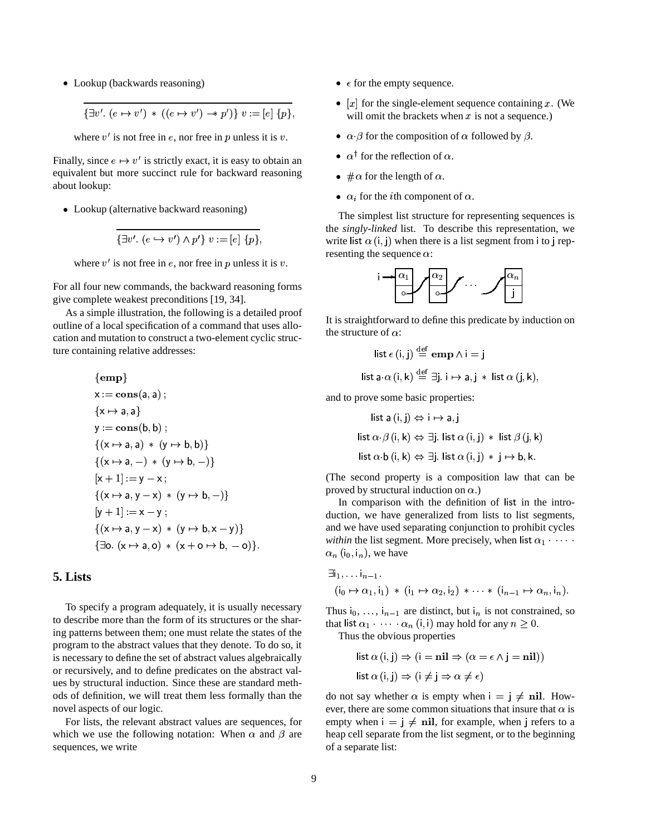• Lookup (backwards reasoning)

$$
\{\exists v'.\ (e\mapsto v')\ *\ ((e\mapsto v')\twoheadrightarrow p')\}\ v:= [e]\ \{p\},
$$

where  $v'$  is not free in  $e$ , nor free in  $p$  unless it is  $v$ .

Finally, since  $e \mapsto v'$  is strictly exact, it is easy to obtain an equivalent but more succinct rule for backward reasoning about lookup:

• Lookup (alternative backward reasoning)

$$
\{\exists v'.\ (e\hookrightarrow v')\wedge p'\}\ v:= [e]\ \{p\},\
$$

where  $v'$  is not free in e, nor free in p unless it is v.

For all four new commands, the backward reasoning forms give complete weakest preconditions [19, 34].

As a simple illustration, the following is a detailed proof outline of a local specification of a command that uses allocation and mutation to construct a two-element cyclic structure containing relative addresses:

".-' ( <sup>g</sup> Y-= <sup>B</sup> N <sup>6</sup> Nb/ " <sup>g</sup> P <sup>N</sup> <sup>6</sup> <sup>N</sup> ( ! Y-= <sup>B</sup> <sup>6</sup> b/ " g P <sup>N</sup> <sup>6</sup> Nb/ P <sup>6</sup> b/ ( " g P <sup>N</sup> 67 / P 6! / ( "g \$&(') <sup>g</sup> " g P <sup>N</sup> 6 <sup>g</sup> / P 6! / ( " \$&(') <sup>g</sup> " g P <sup>N</sup> 6 <sup>g</sup> / P 6fg / ( " 5- 0)g P <sup>N</sup> <sup>6</sup> - / g \$ - P 6M -/ ( <sup>0</sup>

# **5. Lists**

To specify a program adequately, it is usually necessary to describe more than the form of its structures or the sharing patterns between them; one must relate the states of the program to the abstract values that they denote. To do so, it is necessary to define the set of abstract values algebraically or recursively, and to define predicates on the abstract values by structural induction. Since these are standard methods of definition, we will treat them less formally than the novel aspects of our logic.

For lists, the relevant abstract values are sequences, for which we use the following notation: When  $\alpha$  and  $\beta$  are sequences, we write

- $\bullet$   $\epsilon$  for the empty sequence.
- $[x]$  for the single-element sequence containing x. (We will omit the brackets when  $x$  is not a sequence.)
- $\alpha \cdot \beta$  for the composition of  $\alpha$  followed by  $\beta$ .
- $\alpha^{\dagger}$  for the reflection of  $\alpha$ .
- $\#\alpha$  for the length of  $\alpha$ .
- $\alpha_i$  for the *i*th component of  $\alpha$ .

The simplest list structure for representing sequences is the *singly-linked* list. To describe this representation, we write list  $\alpha(i, j)$  when there is a list segment from i to j representing the sequence  $\alpha$ :



It is straightforward to define this predicate by induction on the structure of  $\alpha$ :

$$
list \in (i, j) \stackrel{\text{def}}{=} \mathbf{emp} \land i = j
$$
  
list  $\mathbf{a} \cdot \alpha$   $(i, k) \stackrel{\text{def}}{=} \exists j. i \mapsto \mathbf{a}, j * list \alpha (j, k),$ 

and to prove some basic properties:

list a (i, j) 
$$
\Leftrightarrow
$$
 i  $\mapsto$  a, j  
list  $\alpha \cdot \beta$  (i, k)  $\Leftrightarrow \exists j$ . list  $\alpha$  (i, j) \* list  $\beta$  (j, k)  
list  $\alpha \cdot$ b (i, k)  $\Leftrightarrow \exists j$ . list  $\alpha$  (i, j) \* j  $\mapsto$  b, k.

(The second property is a composition law that can be proved by structural induction on  $\alpha$ .)

In comparison with the definition of list in the introduction, we have generalized from lists to list segments, and we have used separating conjunction to prohibit cycles *within* the list segment. More precisely, when list  $\alpha_1 \cdot \cdots$  $\alpha_n$  (i<sub>0</sub>, i<sub>n</sub>), we have

$$
\exists i_1, \ldots i_{n-1}. (i_0 \mapsto \alpha_1, i_1) * (i_1 \mapsto \alpha_2, i_2) * \cdots * (i_{n-1} \mapsto \alpha_n, i_n).
$$

Thus  $i_0, \ldots, i_{n-1}$  are distinct, but  $i_n$  is not constrained, so that list  $\alpha_1 \cdot \cdots \cdot \alpha_n$  (i, i) may hold for any  $n \geq 0$ .

Thus the obvious properties

$$
list \alpha (i, j) \Rightarrow (i = nil \Rightarrow (\alpha = \epsilon \land j = nil))
$$
  

$$
list \alpha (i, j) \Rightarrow (i \neq j \Rightarrow \alpha \neq \epsilon)
$$

do not say whether  $\alpha$  is empty when  $i = j \neq nil$ . However, there are some common situations that insure that  $\alpha$  is empty when  $i = j \neq nil$ , for example, when j refers to a heap cell separate from the list segment, or to the beginning of a separate list: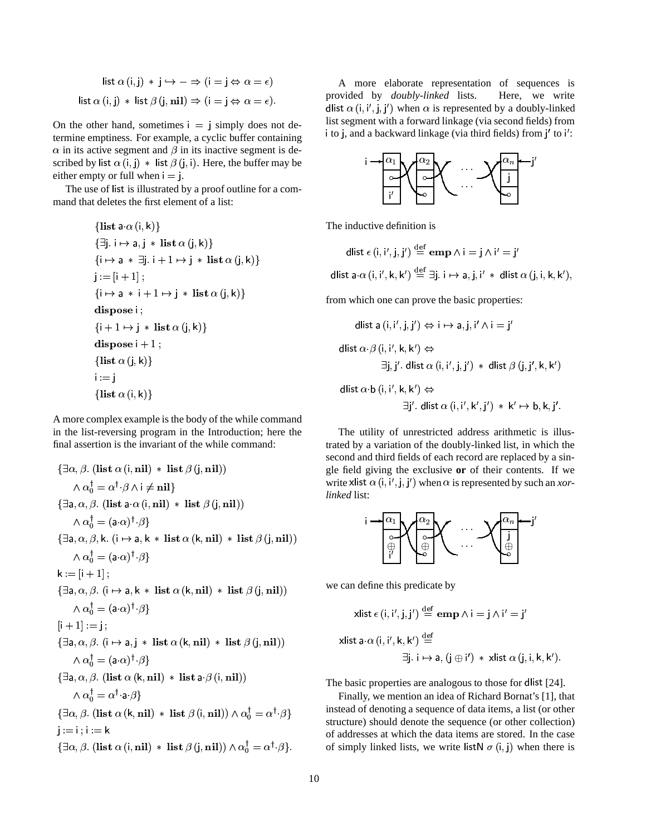$$
list \alpha (i,j) * j \hookrightarrow - \Rightarrow (i = j \Leftrightarrow \alpha = \epsilon)
$$
  

$$
list \alpha (i,j) * list \beta (j, nil) \Rightarrow (i = j \Leftrightarrow \alpha = \epsilon).
$$

On the other hand, sometimes  $i = j$  simply does not determine emptiness. For example, a cyclic buffer containing  $\alpha$  in its active segment and  $\beta$  in its inactive segment is described by list  $\alpha(i, j) *$  list  $\beta(j, i)$ . Here, the buffer may be either empty or full when  $i = j$ .

The use of list is illustrated by a proof outline for a command that deletes the first element of a list:

$$
{\bf list } a \cdot \alpha (i,k) {\n\exists j. i \mapsto a, j * list \alpha (j,k) {\n\exists j. i \mapsto a * \exists j. i + 1 \mapsto j * list \alpha (j,k) {\n\exists i = [i + 1];\n\{\ni \mapsto a * i + 1 \mapsto j * list \alpha (j,k) {\n\exists spose i;\n\{i + 1 \mapsto j * list \alpha (j,k) \}\n\ndispose i + 1;\n{\bf list } \alpha (j,k) {\n\exists i = j\n\{\n\{\n is t \alpha (i,k)\}\n\}
$$

A more complex example is the body of the while command in the list-reversing program in the Introduction; here the final assertion is the invariant of the while command:

$$
\{\exists \alpha, \beta. \text{ (list } \alpha \text{ (i, nil)} * \text{ list } \beta \text{ (j, nil)}) \land \alpha_0^{\dagger} = \alpha^{\dagger} \cdot \beta \land \text{i} \neq \text{nil}\}\
$$
\n
$$
\{\exists a, \alpha, \beta. \text{ (list a·}\alpha \text{ (i, nil)} * \text{ list } \beta \text{ (j, nil)})\land \alpha_0^{\dagger} = (a \cdot \alpha)^{\dagger} \cdot \beta\}
$$
\n
$$
\{\exists a, \alpha, \beta, k. \text{ (i} \leftrightarrow a, k * \text{ list } \alpha \text{ (k, nil)} * \text{ list } \beta \text{ (j, nil)})\land \alpha_0^{\dagger} = (a \cdot \alpha)^{\dagger} \cdot \beta\}
$$
\n
$$
k := [i + 1];
$$
\n
$$
\{\exists a, \alpha, \beta. \text{ (i} \leftrightarrow a, k * \text{ list } \alpha \text{ (k, nil)} * \text{ list } \beta \text{ (j, nil)})\land \alpha_0^{\dagger} = (a \cdot \alpha)^{\dagger} \cdot \beta\}
$$
\n
$$
[i + 1] := j;
$$
\n
$$
\{\exists a, \alpha, \beta. \text{ (i} \leftrightarrow a, j * \text{ list } \alpha \text{ (k, nil)} * \text{ list } \beta \text{ (j, nil)})\land \alpha_0^{\dagger} = (a \cdot \alpha)^{\dagger} \cdot \beta\}
$$
\n
$$
\{\exists a, \alpha, \beta. \text{ (list } \alpha \text{ (k, nil)} * \text{ list } a \cdot \beta \text{ (i, nil)})\land \alpha_0^{\dagger} = \alpha^{\dagger} \cdot a \cdot \beta\}
$$
\n
$$
\{\exists \alpha, \beta. \text{ (list } \alpha \text{ (k, nil)} * \text{ list } \beta \text{ (i, nil)}) \land \alpha_0^{\dagger} = \alpha^{\dagger} \cdot \beta\}
$$
\n
$$
j := i ; i := k
$$
\n
$$
\{\exists \alpha, \beta. \text{ (list } \alpha \text{ (i, nil)} * \text{ list } \beta \text{ (j, nil)}) \land \alpha_0^{\dagger} = \alpha^{\dagger} \cdot \beta\}.
$$

A more elaborate representation of sequences is provided by *doubly-linked* lists. Here, we write dlist  $\alpha$  (i, i', j, j') when  $\alpha$  is represented by a doubly-linked list segment with a forward linkage (via second fields) from i to j, and a backward linkage (via third fields) from j' to i':



The inductive definition is

$$
\begin{aligned}\n\text{dlist } \epsilon \, (i, i', j, j') \stackrel{\text{def}}{=} \, \mathbf{emp} \wedge i = j \wedge i' = j' \\
\text{dlist } \mathbf{a} \cdot \alpha \, (i, i', k, k') \stackrel{\text{def}}{=} \exists j. \, i \mapsto \mathbf{a}, j, i' \, * \, \text{dlist } \alpha \, (j, i, k, k'),\n\end{aligned}
$$

from which one can prove the basic properties:

$$
\begin{aligned}\n\text{dlist a (i, i', j, j')} &\Leftrightarrow i \mapsto \mathsf{a, j, i'} \land i = j' \\
\text{dlist } \alpha \cdot \beta \ (\mathsf{i, i', k, k'}) &\Leftrightarrow \\
&\exists \mathsf{j, j'. \text{ dlist } \alpha \ (\mathsf{i, i', j, j'}) \ * \ \text{dlist } \beta \ (\mathsf{j, j', k, k'}) \\
\text{dlist } \alpha \cdot \mathsf{b \ (\mathsf{i, i', k, k')} &\Leftrightarrow \\
&\exists \mathsf{i'. \text{ dlist } \alpha \ (\mathsf{i, i', k', i') \ * \ k' \mapsto \mathsf{b, k, i'}}.\n\end{aligned}
$$

The utility of unrestricted address arithmetic is illustrated by a variation of the doubly-linked list, in which the second and third fields of each record are replaced by a single field giving the exclusive **or** of their contents. If we write xlist  $\alpha$  (i, i', j, j') when  $\alpha$  is represented by such an *xorlinked* list:



we can define this predicate by

xlist 
$$
\epsilon
$$
 (i, i', j, j')  $\stackrel{\text{def}}{=}$  **emp**  $\wedge$  i = j  $\wedge$  i' = j'

xlist a·
$$
\alpha
$$
 (i, i', k, k')  $\stackrel{\text{def}}{=}$   
 $\exists j. i \mapsto a, (j \oplus i') * xlist \alpha (j, i, k, k').$ 

The basic properties are analogous to those for dlist [24].

 $ext{u}$  structure) should denote the sequence (or other collection)  $\{\beta\}$ . of simply linked lists, we write list  $\alpha$  (i, j) when there is Finally, we mention an idea of Richard Bornat's [1], that instead of denoting a sequence of data items, a list (or other of addresses at which the data items are stored. In the case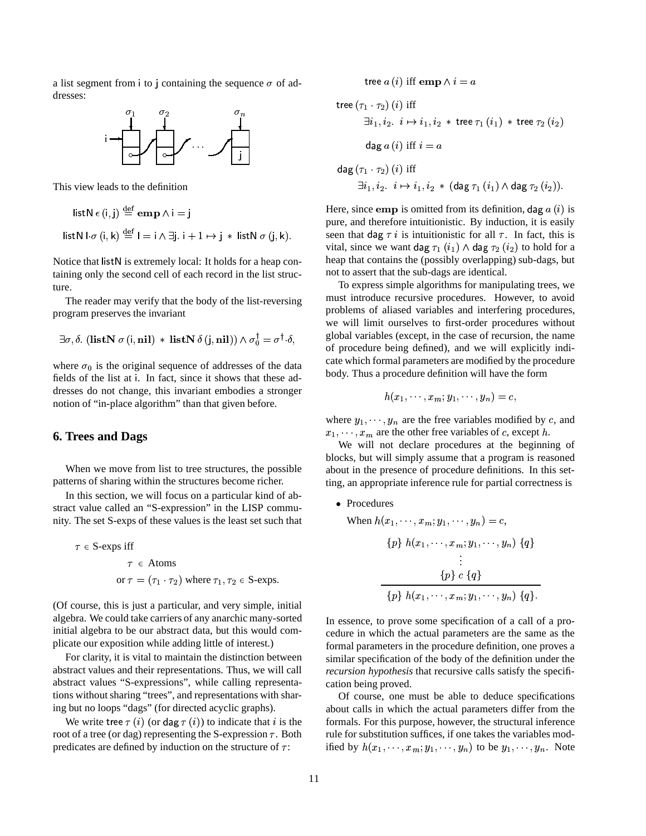a list segment from  $\mathsf{I}$  to  $\mathsf{J}$  containing the sequence  $\sigma$  of addresses:



This view leads to the definition

listN 
$$
\epsilon(i, j)
$$
  $\stackrel{\text{def}}{=} \text{emp } \wedge i = j$   
listN  $\vdash \sigma(i, k)$   $\stackrel{\text{def}}{=} 1 = i \wedge \exists j \ldots i + 1 \mapsto j * \text{ listN } \sigma(j, k)$ .

Notice that listN is extremely local: It holds for a heap containing only the second cell of each record in the list structure.

The reader may verify that the body of the list-reversing program preserves the invariant

$$
\exists \sigma, \delta. \text{ (listN } \sigma \text{ (i, nil)} * \text{ listN } \delta \text{ (j, nil)}) \land \sigma_0^{\dagger} = \sigma^{\dagger} \cdot \delta, \qquad \mathcal{L}
$$

where  $\sigma_0$  is the original sequence of addresses of the data fields of the list at . In fact, since it shows that these addresses do not change, this invariant embodies a stronger notion of "in-place algorithm" than that given before.

### **6. Trees and Dags**

When we move from list to tree structures, the possible patterns of sharing within the structures become richer.

In this section, we will focus on a particular kind of abstract value called an "S-expression" in the LISP community. The set S-exps of these values is the least set such that

$$
\tau \in
$$
 S-exps iff  
\n $\tau \in$  Atoms  
\nor  $\tau = (\tau_1 \cdot \tau_2)$  where  $\tau_1, \tau_2 \in$  S-exps.

(Of course, this is just a particular, and very simple, initial algebra. We could take carriers of any anarchic many-sorted initial algebra to be our abstract data, but this would complicate our exposition while adding little of interest.)

For clarity, it is vital to maintain the distinction between abstract values and their representations. Thus, we will call abstract values "S-expressions", while calling representations without sharing "trees", and representations with sharing but no loops "dags" (for directed acyclic graphs).

We write tree  $\tau(i)$  (or dag  $\tau(i)$ ) to indicate that *i* is the root of a tree (or dag) representing the S-expression  $\tau$ . Both predicates are defined by induction on the structure of  $\tau$ : if tree  $a\left( i\right) \text{ iff } \textbf{emp} \wedge i=a$ 

tree 
$$
(\tau_1 \cdot \tau_2)
$$
 (*i*) iff  
\n $\exists i_1, i_2. \quad i \mapsto i_1, i_2 * \text{tree } \tau_1$  (*i*<sub>1</sub>) \* tree  $\tau_2$  (*i*<sub>2</sub>)  
\ndag  $a$  (*i*) iff  $i = a$   
\ndag  $(\tau_1 \cdot \tau_2)$  (*i*) iff  
\n $\exists i_1, i_2. \quad i \mapsto i_1, i_2 * (\text{dag } \tau_1$  (*i*<sub>1</sub>)  $\land$  dag  $\tau_2$  (*i*<sub>2</sub>)).

Here, since  $emp$  is omitted from its definition, dag  $a(i)$  is pure, and therefore intuitionistic. By induction, it is easily seen that dag  $\tau i$  is intuitionistic for all  $\tau$ . In fact, this is vital, since we want dag  $\tau_1$   $(i_1)$   $\wedge$  dag  $\tau_2$   $(i_2)$  to hold for a heap that contains the (possibly overlapping) sub-dags, but not to assert that the sub-dags are identical.

To express simple algorithms for manipulating trees, we must introduce recursive procedures. However, to avoid problems of aliased variables and interfering procedures, we will limit ourselves to first-order procedures without global variables (except, in the case of recursion, the name of procedure being defined), and we will explicitly indicate which formal parameters are modified by the procedure body. Thus a procedure definition will have the form

$$
h(x_1,\cdots,x_m;y_1,\cdots,y_n)=c,
$$

where  $y_1, \dots, y_n$  are the free variables modified by c, and  $x_1, \dots, x_m$  are the other free variables of c, except h.

We will not declare procedures at the beginning of blocks, but will simply assume that a program is reasoned about in the presence of procedure definitions. In this setting, an appropriate inference rule for partial correctness is

\n- Proceedures
\n- When 
$$
h(x_1, \dots, x_m; y_1, \dots, y_n) = c
$$
,  $\{p\} h(x_1, \dots, x_m; y_1, \dots, y_n) \{q\}$   $\vdots$   $\{p\} c \{q\}$
\n

In essence, to prove some specification of a call of a procedure in which the actual parameters are the same as the formal parameters in the procedure definition, one proves a similar specification of the body of the definition under the *recursion hypothesis* that recursive calls satisfy the specification being proved.

 $\{p\} h(x_1, \dots, x_m; y_1, \dots, y_n) \{q\}.$ 

Of course, one must be able to deduce specifications about calls in which the actual parameters differ from the formals. For this purpose, however, the structural inference rule for substitution suffices, if one takes the variables modified by  $h(x_1, \dots, x_m; y_1, \dots, y_n)$  to be  $y_1, \dots, y_n$ . Note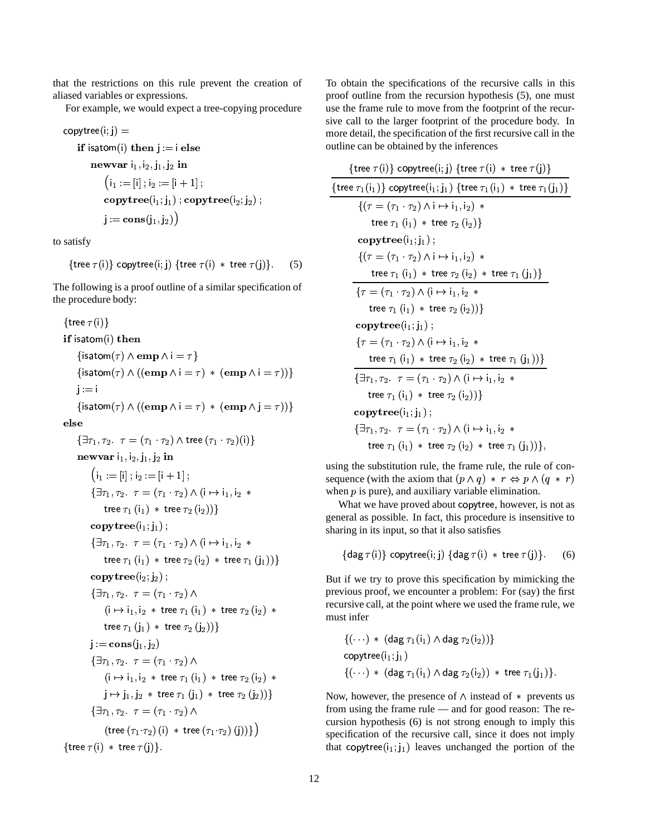that the restrictions on this rule prevent the creation of aliased variables or expressions.

For example, we would expect a tree-copying procedure

```
\mathsf{convtree}(\mathsf{i};\mathsf{i}) =\mathbf{if}\ \mathsf{isatom}(\mathsf{i})\ \mathbf{then}\ \mathsf{i}:=\mathsf{i}\ \mathbf{else}{\bf newvar}_{1_1,1_2,1_1,1_2} in
                    \mathcal{L} and the state of the state \mathcal{L}\mathfrak{i}_1:=[\mathfrak{i}]:\mathfrak{i}_2:=[\mathfrak{i}+1]~;\mathbf{copytree}(\mathsf{i}_1; \mathsf{j}_1) ; \mathbf{copytree}(\mathsf{i}_2; \mathsf{j}_2) ;
                   {\bf j} := {\bf cons}({\bf j}_1, {\bf j}_2)
```
to satisfy

{tree 
$$
\tau(i)
$$
}  $\text{copytree}(i; j)$  {tree  $\tau(i) * \text{tree } \tau(j)$ }. (5)

The following is a proof outline of a similar specification of the procedure body:

```
\mathbf{f}_{\text{max}} = \mathbf{f}(\lambda)\bf{if} isatom(i) \bf{then}\{ \mathsf{isatom}(\tau) \wedge \mathbf{emp} \wedge \mathsf{i} = \tau \}\{ \mathsf{isatom}(\tau) \land ((\mathbf{emp} \land \mathsf{i} = \tau) \, * \, (\mathbf{emp} \land \mathsf{i} = \tau)) \}-
!,
       \{ \mathsf{isatom}(\tau) \wedge ((\mathbf{emp} \wedge \mathsf{i} = \tau) \, * \, (\mathbf{emp} \wedge \mathsf{j} = \tau)) \}else
       \{\exists \tau_1, \tau_2, \tau = (\tau_1 \cdot \tau_2) \wedge \text{tree } (\tau_1 \cdot \tau_2)(i)\}\\mathbf{n}ew var \mathbf{p}_1, \mathbf{p}_2, \mathbf{p}_1, \mathbf{p}_2 in
              the contract of the contract of the contract of the contract of the contract of the contract of the contract of
                \mathbf{i}_1:=[\mathbf{i}]:\mathbf{i}_2:=[\mathbf{i}+1] ;
             \{\exists \tau_1, \tau_2, \tau = (\tau_1 \cdot \tau_2) \wedge (\mathbf{i} \mapsto \mathbf{i}_1, \mathbf{i}_2 \ast \mathbf{j}_1\}tree \tau_1 (\mathsf{i}_1) * tree \tau_2 (\mathsf{i}_2)) }
                                                                        (
             \mathbf{copytree}(\mathsf{i}_1; \mathsf{j}_1) ;
             \{\exists \tau_1, \tau_2, \tau = (\tau_1 \cdot \tau_2) \wedge (\mathbf{i} \mapsto \mathbf{i}_1, \mathbf{i}_2 \neq \mathbf{j}_1\})tree \tau_1 (i_1) * tree \tau_2 (i_2) * tree \tau_1 (i_1)\}
             \mathbf{copytree}(\mathsf{i}_2; \mathsf{j}_2) ;
             \{\exists \tau_1, \tau_2, \tau = (\tau_1 \cdot \tau_2) \wedge(i \mapsto i_1, i_2 \ast \text{tree } \tau_1 \ (i_1) \ast \text{tree } \tau_2 \ (i_2) \asttree \tau_1 (\,\mathsf{i}_1)\,*\, tree \tau_2 (\mathsf{i}_2))\}\mathbf{j} := \mathbf{cons}(\mathbf{i}_1, \mathbf{i}_2)\{\exists \tau_1, \tau_2, \tau = (\tau_1 \cdot \tau_2) \wedge(i \mapsto i_1, i_2 \ast \text{tree } \tau_1 \ (i_1) \ast \text{tree } \tau_2 \ (i_2) \astj \mapsto j_1, j_2 \ast tree \tau_1 (i_1) \ast tree \tau_2 (i_2))}
             \{\exists \tau_1, \tau_2, \tau = (\tau_1 \cdot \tau_2) \wedge
                                                       \cdots(\mathsf{tree}\,(\tau_1\!\cdot\!\tau_2)\,(\mathsf{i})\;*\;\mathsf{tree}\,(\tau_1\!\cdot\!\tau_2)\,(\mathsf{i}))\})\{ \text{tree} \; \tau(\mathsf{i}) \; * \; \text{tree} \; \tau(\mathsf{i}) \}.
```
To obtain the specifications of the recursive calls in this proof outline from the recursion hypothesis (5), one must use the frame rule to move from the footprint of the recursive call to the larger footprint of the procedure body. In more detail, the specification of the first recursive call in the outline can be obtained by the inferences

{tree 
$$
\tau(i)
$$
} copytree(i; j) {tree  $\tau(i) * tree \tau(j)$ }  
\n{tree  $\tau_1(i_1)$ } copytree(i\_1; j\_1) {tree  $\tau_1(i_1) * tree \tau_1(j_1)$ }  
\n{ $(\tau = (\tau_1 \cdot \tau_2) \land i \rightarrow i_1, i_2) *$   
\ntree  $\tau_1(i_1) * tree \tau_2(i_2)$ }  
\n**copytree**(i\_1; j\_1);  
\n{ $(\tau = (\tau_1 \cdot \tau_2) \land i \rightarrow i_1, i_2) *$   
\ntree  $\tau_1(i_1) * tree \tau_2(i_2) * tree \tau_1(j_1)$ }  
\n{ $\tau = (\tau_1 \cdot \tau_2) \land (i \rightarrow i_1, i_2 *$   
\ntree  $\tau_1(i_1) * tree \tau_2(i_2)$ )}  
\n**copytree**(i\_1; j\_1);  
\n{ $\tau = (\tau_1 \cdot \tau_2) \land (i \rightarrow i_1, i_2 *$   
\ntree  $\tau_1(i_1) * tree \tau_2(i_2) * tree \tau_1(j_1))$ }  
\n{ $\exists \tau_1, \tau_2. \tau = (\tau_1 \cdot \tau_2) \land (i \rightarrow i_1, i_2 *$   
\ntree  $\tau_1(i_1) * tree \tau_2(i_2)$ )}  
\n**copytree**(i\_1; j\_1);  
\n{ $\exists \tau_1, \tau_2. \tau = (\tau_1 \cdot \tau_2) \land (i \rightarrow i_1, i_2 *$   
\ntree  $\tau_1(i_1) * tree \tau_2(i_2)$ )}  
\n**copytree**(i\_1; j\_1);  
\n{ $\exists \tau_1, \tau_2. \tau = (\tau_1 \cdot \tau_2) \land (i \rightarrow i_1, i_2 *$   
\ntree  $\tau_1(i_1) * tree \tau_2(i_2) * tree \tau_1(j_1))$ },

using the substitution rule, the frame rule, the rule of consequence (with the axiom that  $(p \wedge q) * r \Leftrightarrow p \wedge (q * r)$ when  $p$  is pure), and auxiliary variable elimination.

What we have proved about copytree, however, is not as general as possible. In fact, this procedure is insensitive to sharing in its input, so that it also satisfies

$$
\{\text{dag }\tau(i)\} \text{ copytree}(i,j) \{\text{dag }\tau(i) * \text{tree }\tau(j)\}.
$$
 (6)

But if we try to prove this specification by mimicking the previous proof, we encounter a problem: For (say) the first recursive call, at the point where we used the frame rule, we must infer

$$
\{(\cdots) * (dg \tau_1(i_1) \wedge dag \tau_2(i_2))\}
$$
  
copytree( $i_1; j_1$ )  

$$
\{(\cdots) * (dg \tau_1(i_1) \wedge dag \tau_2(i_2)) * tree \tau_1(j_1)\}.
$$

Now, however, the presence of  $\wedge$  instead of  $*$  prevents us from using the frame rule — and for good reason: The recursion hypothesis (6) is not strong enough to imply this specification of the recursive call, since it does not imply that copytree( $i_1$ ;  $j_1$ ) leaves unchanged the portion of the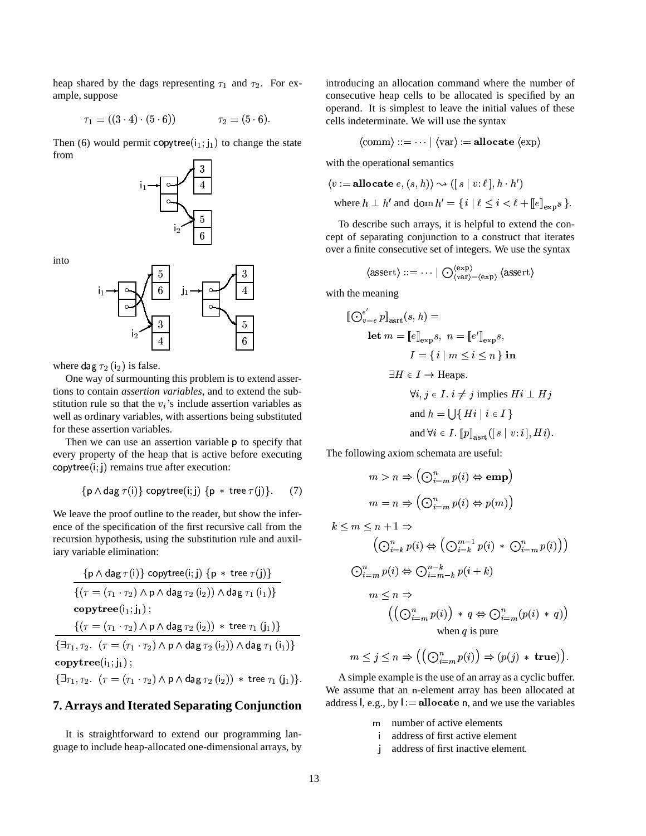heap shared by the dags representing  $\tau_1$  and  $\tau_2$ . For example, suppose

$$
\tau_1 = ((3 \cdot 4) \cdot (5 \cdot 6)) \qquad \tau_2 = (5 \cdot 6).
$$

Then (6) would permit copytree( $i_1$ ;  $j_1$ ) to change the state from



into



where dag  $\tau_2$  (i<sub>2</sub>) is false.

One way of surmounting this problem is to extend assertions to contain *assertion variables*, and to extend the substitution rule so that the  $v_i$ 's include assertion variables as well as ordinary variables, with assertions being substituted for these assertion variables.

Then we can use an assertion variable p to specify that every property of the heap that is active before executing  $\text{copytree}(i; j)$  remains true after execution:

$$
\{\mathsf{p} \land \mathsf{dag}\; \tau(\mathsf{i})\} \; \mathsf{copytree}(\mathsf{i}; \mathsf{j}) \; \{\mathsf{p} \; * \; \mathsf{tree}\; \tau(\mathsf{j})\}. \qquad (7)
$$

We leave the proof outline to the reader, but show the inference of the specification of the first recursive call from the recursion hypothesis, using the substitution rule and auxiliary variable elimination:

$$
\frac{\{p \land dag \tau(i)\} \text{ copytree}(i;j) \{p * tree \tau(j)\}}{\{( \tau = (\tau_1 \cdot \tau_2) \land p \land dag \tau_2(i_2)) \land dag \tau_1(i_1) \}}
$$
\n
$$
\text{copytree}(i_1; j_1) ;
$$
\n
$$
\{ (\tau = (\tau_1 \cdot \tau_2) \land p \land dag \tau_2(i_2)) * tree \tau_1(j_1) \}
$$
\n
$$
\{ \exists \tau_1, \tau_2. \ (\tau = (\tau_1 \cdot \tau_2) \land p \land dag \tau_2(i_2)) \land dag \tau_1(i_1) \}
$$
\n
$$
\text{copytree}(i_1; j_1) ;
$$
\n
$$
\{ \exists \tau_1, \tau_2. \ (\tau = (\tau_1 \cdot \tau_2) \land p \land dag \tau_2(i_2)) * tree \tau_1(j_1) \}.
$$

#### **7. Arrays and Iterated Separating Conjunction**

It is straightforward to extend our programming language to include heap-allocated one-dimensional arrays, by introducing an allocation command where the number of consecutive heap cells to be allocated is specified by an operand. It is simplest to leave the initial values of these cells indeterminate. We will use the syntax

$$
\langle \mathrm{comm} \rangle ::= \cdots \mid \langle \mathrm{var} \rangle := \mathbf{allocate} \; \langle \mathrm{exp} \rangle
$$

with the operational semantics

 $\langle v := \mathbf{allocate}\; e, (s,h) \rangle \leadsto ([\,s \mid v\colon \ell\,], h\cdot h')$ where  $h \perp h'$  and dom  $h' = \{i \mid \ell \leq i < \ell + [e]_{\text{exp}} s\}.$ 

To describe such arrays, it is helpful to extend the concept of separating conjunction to a construct that iterates over a finite consecutive set of integers. We use the syntax

$$
\langle \text{assert} \rangle ::= \dots \mid \bigodot_{\langle \text{var} \rangle = \langle \text{exp} \rangle}^{\langle \text{exp} \rangle} \langle \text{assert} \rangle
$$

with the meaning

$$
\begin{aligned}\n\llbracket \bigodot_{v=e}^{e'} p \rrbracket_{\text{asrt}}(s, h) &= \\
\text{let } m &= \llbracket e \rrbracket_{\text{exp}} s, \ n = \llbracket e' \rrbracket_{\text{exp}} s, \\
I &= \{ i \mid m \le i \le n \} \text{ in} \\
\exists H \in I \to \text{Heaps.} \\
\forall i, j \in I. \ i \ne j \text{ implies } H i \perp H j \\
\text{and } h &= \bigcup \{ H i \mid i \in I \} \\
\text{and } \forall i \in I. \ \llbracket p \rrbracket_{\text{asrt}}(\llbracket s \mid v : i \rrbracket, H i).\n\end{aligned}
$$

The following axiom schemata are useful:

$$
m > n \Rightarrow \left(\bigodot_{i=m}^{n} p(i) \Leftrightarrow \text{emp}\right)
$$
  
\n
$$
m = n \Rightarrow \left(\bigodot_{i=m}^{n} p(i) \Leftrightarrow p(m)\right)
$$
  
\n
$$
k \leq m \leq n+1 \Rightarrow
$$
  
\n
$$
\left(\bigodot_{i=k}^{n} p(i) \Leftrightarrow \left(\bigodot_{i=k}^{m-1} p(i) * \bigodot_{i=m}^{n} p(i)\right)\right)
$$
  
\n
$$
\bigodot_{i=m}^{n} p(i) \Leftrightarrow \bigodot_{i=m-k}^{n-k} p(i+k)
$$
  
\n
$$
m \leq n \Rightarrow
$$
  
\n
$$
\left(\left(\bigodot_{i=m}^{n} p(i)\right) * q \Leftrightarrow \bigodot_{i=m}^{n} (p(i) * q)\right)
$$
  
\nwhen *q* is pure

$$
m \leq j \leq n \Rightarrow ((\bigodot_{i=m}^{n} p(i)) \Rightarrow (p(j) * \mathbf{true})).
$$

A simple example is the use of an array as a cyclic buffer. We assume that an n-element array has been allocated at address  $I, e.g., by I := **allocate** n, and we use the variables$ 

- number of active elements
- $\mathbf{i}$ address of first active element
- $\mathbf{i}$ address of first inactive element.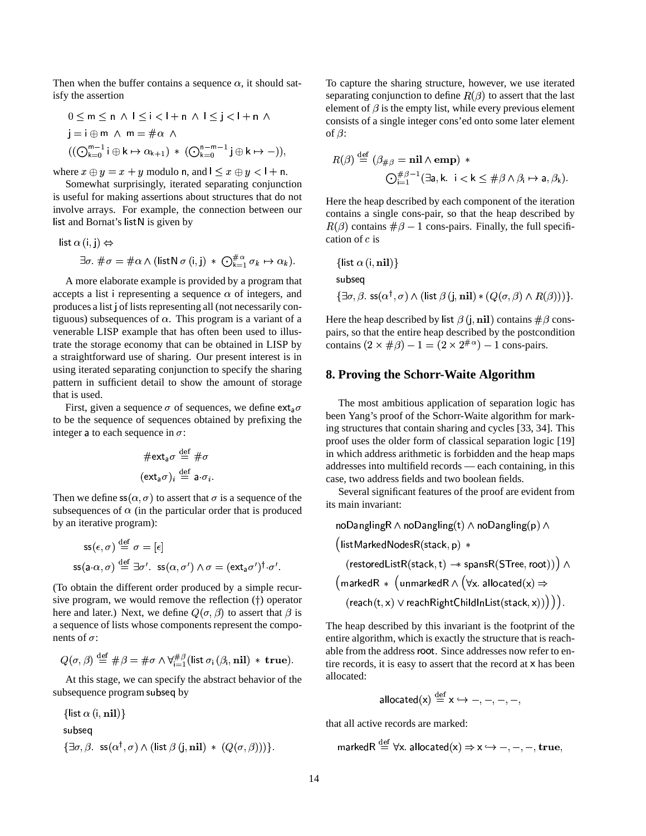Then when the buffer contains a sequence  $\alpha$ , it should satisfy the assertion

$$
0 \le m \le n \land 1 \le i < l + n \land 1 \le j < l + n \land \text{const}
$$
\n
$$
j = i \oplus m \land m = \# \alpha \land \text{of } \beta:
$$
\n
$$
((\bigcirc_{k=0}^{m-1} i \oplus k \mapsto \alpha_{k+1}) * (\bigcirc_{k=0}^{n-m-1} j \oplus k \mapsto -)),
$$
\n
$$
R((\bigcirc_{k=0}^{m-1} i \oplus k \mapsto \alpha_{k+1}) * (\bigcirc_{k=0}^{n-m-1} j \oplus k \mapsto -)),
$$

**6. Production of the Contract of the Contract of the Contract of the Contract of the Contract of the Contract** 

where  $x \oplus y = x + y$  modulo n, and  $1 \le x \oplus y < 1 + n$ .

Somewhat surprisingly, iterated separating conjunction is useful for making assertions about structures that do not involve arrays. For example, the connection between our list and Bornat's listN is given by

$$
\begin{aligned}\n\text{list } \alpha \text{ (i, j)} &\Leftrightarrow & \text{ cation of } \\
\exists \sigma. \ \# \sigma = \# \alpha \land (\text{listN } \sigma \text{ (i, j)} * \bigcirc_{k=1}^{\# \alpha} \sigma_k \mapsto \alpha_k).\n\end{aligned}
$$

A more elaborate example is provided by a program that accepts a list i representing a sequence  $\alpha$  of integers, and produces a list j of lists representing all (not necessarily contiguous) subsequences of  $\alpha$ . This program is a variant of a venerable LISP example that has often been used to illustrate the storage economy that can be obtained in LISP by a straightforward use of sharing. Our present interest is in using iterated separating conjunction to specify the sharing pattern in sufficient detail to show the amount of storage that is used.

First, given a sequence  $\sigma$  of sequences, we define  $ext{ext}_a \sigma$ to be the sequence of sequences obtained by prefixing the integer a to each sequence in  $\sigma$ :

$$
\begin{aligned}\n\#\text{ext}_{\mathsf{a}} \sigma &\stackrel{\text{def}}{=} \#\sigma \\
(\text{ext}_{\mathsf{a}} \sigma)_i &\stackrel{\text{def}}{=} \mathsf{a} \cdot \sigma_i.\n\end{aligned}
$$

Then we define  $ss(\alpha, \sigma)$  to assert that  $\sigma$  is a sequence of the subsequences of  $\alpha$  (in the particular order that is produced by an iterative program):

$$
ss(\epsilon, \sigma) \stackrel{\text{def}}{=} \sigma = [\epsilon]
$$
  
ss(a $\cdot \alpha, \sigma$ )  $\stackrel{\text{def}}{=} \exists \sigma'$ .  $ss(\alpha, \sigma') \wedge \sigma = (ext_a \sigma')^{\dagger} \cdot \sigma'.$ 

(To obtain the different order produced by a simple recursive program, we would remove the reflection  $(†)$  operator here and later.) Next, we define  $Q(\sigma, \beta)$  to assert that  $\beta$  is a sequence of lists whose components represent the components of  $\sigma$ :

$$
Q(\sigma,\beta) \stackrel{\text{def}}{=} \#\beta = \#\sigma \wedge \forall_{i=1}^{\#\beta} (\text{list } \sigma_i(\beta_i,\mathbf{nil}) \ast \mathbf{true}).
$$

At this stage, we can specify the abstract behavior of the subsequence program subseq by

{ list  $\alpha$  (i,  $\textbf{nil}$  ) }

subsea

$$
\{\exists \sigma,\beta.\;\; \mathsf{ss}(\alpha^\dagger,\sigma) \wedge (\mathsf{list}\ \beta\,(\mathsf{j},\mathbf{nil}) \,\ast\, (Q(\sigma,\beta)))\}.
$$

To capture the sharing structure, however, we use iterated separating conjunction to define  $R(\beta)$  to assert that the last element of  $\beta$  is the empty list, while every previous element consists of a single integer cons'ed onto some later element of  $\beta$ :

$$
R(\beta) \stackrel{\text{def}}{=} (\beta_{\#\beta} = \mathbf{nil} \wedge \mathbf{emp}) * \n\bigodot_{i=1}^{\#\beta-1} (\exists a, k. \ i < k \leq \#\beta \wedge \beta_i \mapsto a, \beta_k).
$$

Here the heap described by each component of the iteration contains a single cons-pair, so that the heap described by  $R(\beta)$  contains  $\#\beta - 1$  cons-pairs. Finally, the full specification of  $c$  is

{list 
$$
\alpha
$$
 (i, nil)}  
subseq  
{ $\exists \sigma, \beta$ . ss( $\alpha^{\dagger}, \sigma$ )  $\land$  (list  $\beta$  (j, nil) \* ( $Q(\sigma, \beta)$   $\land$   $R(\beta)$ ))}.

Here the heap described by list  $\beta$  (j, nil) contains  $\#\beta$  conspairs, so that the entire heap described by the postcondition contains  $(2 \times \text{#}\beta) - 1 = (2 \times 2^{\text{#}\alpha}) - 1$  cons-pairs.

# **8. Proving the Schorr-Waite Algorithm**

 $\sigma$  The most ambitious application of separation logic has been Yang's proof of the Schorr-Waite algorithm for marking structures that contain sharing and cycles [33, 34]. This proof uses the older form of classical separation logic [19] in which address arithmetic is forbidden and the heap maps addresses into multifield records — each containing, in this case, two address fields and two boolean fields.

> Several significant features of the proof are evident from its main invariant:

$$
\begin{array}{l} \mathsf{noDanglingR}\land \mathsf{noDangling(t)}\land \mathsf{noDangling(p)}\land \\ \big(\mathsf{listMarketNodesR(state, p)} \;\ast \qquad \\ \quad (\mathsf{restoredListR(state, t)} \rightarrow \mathsf{sparseR}(\mathsf{STree, root}))\big) \land \\ \big(\mathsf{markedR} \;\ast\; \big(\mathsf{unmarkedR}\land \big(\forall \mathsf{x}.\mathsf{allocated}(\mathsf{x}) \Rightarrow \\ \quad (\mathsf{reach(t, x)}\lor \mathsf{reachRightChildInList}(\mathsf{stack, x}))\big)\big)\big). \end{array}
$$

The heap described by this invariant is the footprint of the entire algorithm, which is exactly the structure that is reachable from the address root. Since addresses now refer to entire records, it is easy to assert that the record at x has been allocated:

$$
\mathsf{allocated}(\mathsf{x}) \stackrel{\mathrm{def}}{=} \mathsf{x} \hookrightarrow -, -, -, -,
$$

that all active records are marked:

 $\ddot{\phantom{0}}$ 

$$
\mathsf{markedR} \stackrel{\mathrm{def}}{=} \forall \mathsf{x} \mathsf{.} \text{ allocated}(\mathsf{x}) \Rightarrow \mathsf{x} \hookrightarrow -, -, -, \mathsf{true},
$$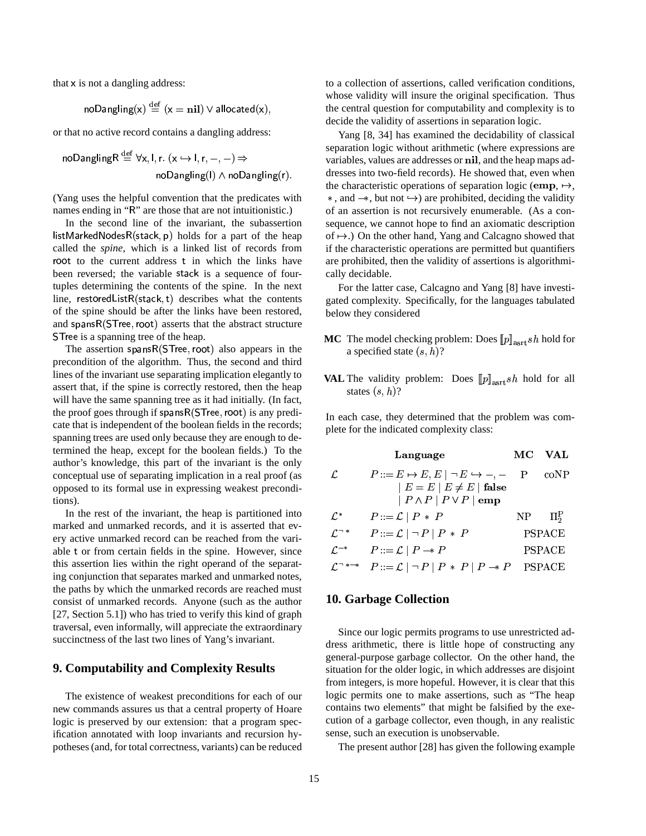that  $x$  is not a dangling address:

 $\mathsf{noD}$  angling(x)  $\stackrel{\mathrm{def}}{=}$  (x =  $\mathsf{nil}$ )  $\vee$  allocated(x).

<sup>6</sup>

or that no active record contains a dangling address:

$$
\mathsf{noDanglingR} \stackrel{\text{def}}{=} \forall \mathsf{x}, \mathsf{l}, \mathsf{r}. \ (\mathsf{x} \hookrightarrow \mathsf{l}, \mathsf{r}, -, -) \Rightarrow \mathsf{v}
$$
\n
$$
\mathsf{noDanging}(\mathsf{l}) \land \mathsf{noDanging}(\mathsf{r}). \qquad \qquad \mathsf{d}
$$

(Yang uses the helpful convention that the predicates with names ending in "R" are those that are not intuitionistic.)

In the second line of the invariant, the subassertion  ${\sf listMarkedNodesR}({\sf stack}, {\sf p})$  holds for a part of the heap called the *spine*, which is a linked list of records from root to the current address t in which the links have been reversed; the variable stack is a sequence of fourtuples determining the contents of the spine. In the next line, restoredList $R(\text{stack}, t)$  describes what the contents of the spine should be after the links have been restored, and spansR(STree, root) asserts that the abstract structure STree is a spanning tree of the heap.

The assertion  $spansR(STree, root)$  also appears in the precondition of the algorithm. Thus, the second and third lines of the invariant use separating implication elegantly to assert that, if the spine is correctly restored, then the heap will have the same spanning tree as it had initially. (In fact, the proof goes through if spansR(STree, root) is any predicate that is independent of the boolean fields in the records; spanning trees are used only because they are enough to determined the heap, except for the boolean fields.) To the author's knowledge, this part of the invariant is the only conceptual use of separating implication in a real proof (as opposed to its formal use in expressing weakest preconditions).

In the rest of the invariant, the heap is partitioned into marked and unmarked records, and it is asserted that every active unmarked record can be reached from the variable t or from certain fields in the spine. However, since this assertion lies within the right operand of the separating conjunction that separates marked and unmarked notes, the paths by which the unmarked records are reached must consist of unmarked records. Anyone (such as the author [27, Section 5.1]) who has tried to verify this kind of graph traversal, even informally, will appreciate the extraordinary succinctness of the last two lines of Yang's invariant.

## **9. Computability and Complexity Results**

The existence of weakest preconditions for each of our new commands assures us that a central property of Hoare logic is preserved by our extension: that a program specification annotated with loop invariants and recursion hypotheses(and, for total correctness, variants) can be reduced to a collection of assertions, called verification conditions, whose validity will insure the original specification. Thus the central question for computability and complexity is to decide the validity of assertions in separation logic.

Yang [8, 34] has examined the decidability of classical separation logic without arithmetic (where expressions are variables, values are addresses or nil, and the heap maps addresses into two-field records). He showed that, even when the characteristic operations of separation logic (emp,  $\mapsto$ ,  $*$ , and  $-*$ , but not  $\hookrightarrow$ ) are prohibited, deciding the validity of an assertion is not recursively enumerable. (As a consequence, we cannot hope to find an axiomatic description of  $\mapsto$ .) On the other hand, Yang and Calcagno showed that if the characteristic operations are permitted but quantifiers are prohibited, then the validity of assertions is algorithmically decidable.

For the latter case, Calcagno and Yang [8] have investigated complexity. Specifically, for the languages tabulated below they considered

- **MC** The model checking problem: Does  $[\![p]\!]_{\text{asrt}} s h$  hold for a specified state  $(s, h)$ ?
- **VAL** The validity problem: Does  $[\![p]\!]_{\text{asrt}}sh$  hold for all states  $(s, h)$ ?

In each case, they determined that the problem was complete for the indicated complexity class:

 

QX)-\$X-

|                 | <b>Language</b>                                                                                              |                | $NU$ $VAL$    |  |
|-----------------|--------------------------------------------------------------------------------------------------------------|----------------|---------------|--|
| $\mathcal{L}$   | $P ::= E \mapsto E, E \mid \neg E \hookrightarrow -, -$ P                                                    |                | coNP          |  |
|                 | $ E = E   E \neq E  $ false                                                                                  |                |               |  |
|                 | $ P \wedge P   P \vee P  $ emp                                                                               |                |               |  |
| $\mathcal{L}^*$ | $P ::= \mathcal{L}   P * P$                                                                                  | $NP$ $\Pi_2^P$ |               |  |
|                 | $\mathcal{L}^{-*}$ $P ::= \mathcal{L} \mid \neg P \mid P * P$                                                |                | <b>PSPACE</b> |  |
|                 | $\mathcal{L}^{-*}$ $P ::= \mathcal{L}   P \rightarrow P$                                                     |                | <b>PSPACE</b> |  |
|                 | $\mathcal{L}^{-*-*} \quad P ::= \mathcal{L} \mid \neg P \mid P * P \mid P \rightarrow P \quad \text{PSPACE}$ |                |               |  |

## **10. Garbage Collection**

Since our logic permits programs to use unrestricted address arithmetic, there is little hope of constructing any general-purpose garbage collector. On the other hand, the situation for the older logic, in which addresses are disjoint from integers, is more hopeful. However, it is clear that this logic permits one to make assertions, such as "The heap contains two elements" that might be falsified by the execution of a garbage collector, even though, in any realistic sense, such an execution is unobservable.

The present author [28] has given the following example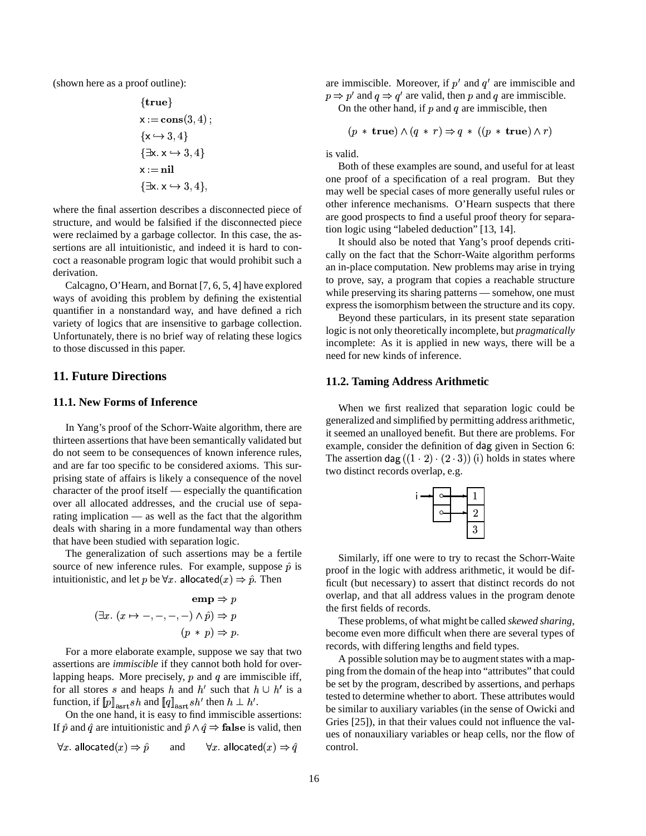(shown here as a proof outline):

{true}  
\n
$$
x := \text{cons}(3, 4) ;
$$
\n
$$
\{x \hookrightarrow 3, 4\}
$$
\n
$$
\{\exists x. x \hookrightarrow 3, 4\}
$$
\n
$$
x := \text{nil}
$$
\n
$$
\{\exists x. x \hookrightarrow 3, 4\},
$$

where the final assertion describes a disconnected piece of structure, and would be falsified if the disconnected piece were reclaimed by a garbage collector. In this case, the assertions are all intuitionistic, and indeed it is hard to concoct a reasonable program logic that would prohibit such a derivation.

Calcagno, O'Hearn, and Bornat [7, 6, 5, 4] have explored ways of avoiding this problem by defining the existential quantifier in a nonstandard way, and have defined a rich variety of logics that are insensitive to garbage collection. Unfortunately, there is no brief way of relating these logics to those discussed in this paper.

## **11. Future Directions**

#### **11.1. New Forms of Inference**

In Yang's proof of the Schorr-Waite algorithm, there are thirteen assertions that have been semantically validated but do not seem to be consequences of known inference rules, and are far too specific to be considered axioms. This surprising state of affairs is likely a consequence of the novel character of the proof itself — especially the quantification over all allocated addresses, and the crucial use of separating implication — as well as the fact that the algorithm deals with sharing in a more fundamental way than others that have been studied with separation logic.

The generalization of such assertions may be a fertile source of new inference rules. For example, suppose  $\hat{p}$  is  $\qquad$ intuitionistic, and let p be  $\forall x$ . allocated $(x) \Rightarrow \hat{p}$ . Then

$$
\mathbf{emp} \Rightarrow p
$$
  
(\exists x. (x \mapsto -, -, -, -), \land \hat{p}) \Rightarrow p  
(p \* p) \Rightarrow p.

For a more elaborate example, suppose we say that two assertions are *immiscible* if they cannot both hold for overlapping heaps. More precisely,  $p$  and  $q$  are immiscible iff, for all stores s and heaps h and h' such that  $h \cup h'$  is a function, if  $[p]_{\text{asrt}} sh$  and  $[q]_{\text{asrt}} sh'$  then  $h \perp h'.$ 

On the one hand, it is easy to find immiscible assertions: If  $\hat{p}$  and  $\hat{q}$  are intuitionistic and  $\hat{p} \wedge \hat{q} \Rightarrow$  false is valid, then  $\forall x$  allocated $(x) \Rightarrow \hat{p}$  and  $\forall x$ . and  $\forall x.$  allocated $(x) \Rightarrow \hat{q}$  control.

are immiscible. Moreover, if  $p'$  and  $q'$  are immiscible and  $p \Rightarrow p'$  and  $q \Rightarrow q'$  are valid, then p and q are immiscible.

On the other hand, if  $p$  and  $q$  are immiscible, then

 $(p * \text{true}) \land (q * r) \Rightarrow q * ((p * \text{true}) \land r)$ 

is valid.

Both of these examples are sound, and useful for at least one proof of a specification of a real program. But they may well be special cases of more generally useful rules or other inference mechanisms. O'Hearn suspects that there are good prospects to find a useful proof theory for separation logic using "labeled deduction" [13, 14].

It should also be noted that Yang's proof depends critically on the fact that the Schorr-Waite algorithm performs an in-place computation. New problems may arise in trying to prove, say, a program that copies a reachable structure while preserving its sharing patterns — somehow, one must express the isomorphism between the structure and its copy.

Beyond these particulars, in its present state separation logic is not only theoretically incomplete, but *pragmatically* incomplete: As it is applied in new ways, there will be a need for new kinds of inference.

## **11.2. Taming Address Arithmetic**

When we first realized that separation logic could be generalized and simplified by permitting address arithmetic, it seemed an unalloyed benefit. But there are problems. For example, consider the definition of dag given in Section 6: The assertion dag  $((1 \cdot 2) \cdot (2 \cdot 3))$  (i) holds in states where two distinct records overlap, e.g.



Similarly, iff one were to try to recast the Schorr-Waite proof in the logic with address arithmetic, it would be difficult (but necessary) to assert that distinct records do not overlap, and that all address values in the program denote the first fields of records.

These problems, of what might be called *skewed sharing*, become even more difficult when there are several types of records, with differing lengths and field types.

A possible solution may be to augment states with a mapping from the domain of the heap into "attributes" that could be set by the program, described by assertions, and perhaps tested to determine whether to abort. These attributes would be similar to auxiliary variables (in the sense of Owicki and Gries [25]), in that their values could not influence the values of nonauxiliary variables or heap cells, nor the flow of control.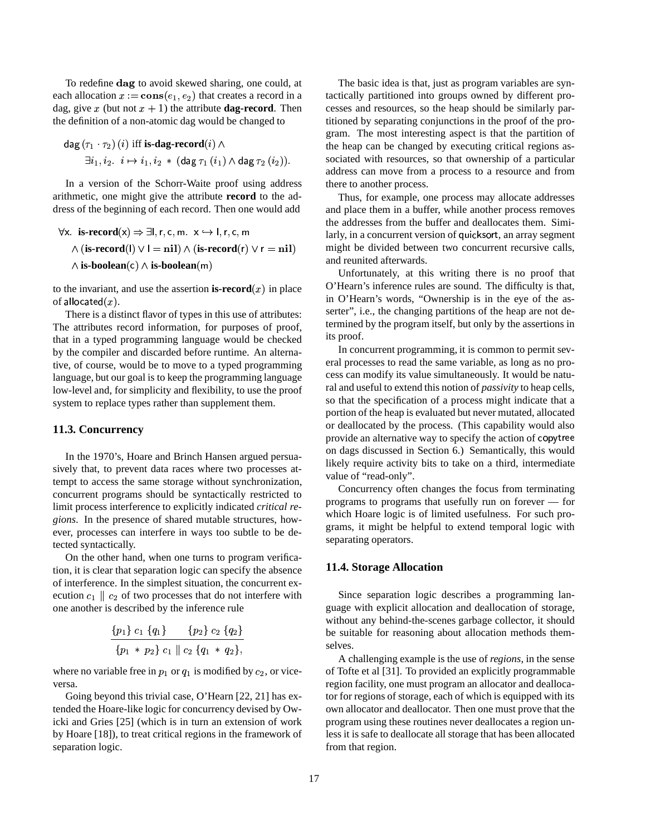To redefine dag to avoid skewed sharing, one could, at each allocation  $x := \text{cons}(e_1, e_2)$  that creates a record in a dag, give x (but not  $x + 1$ ) the attribute **dag-record**. Then the definition of a non-atomic dag would be changed to

$$
\mathsf{dag} \left( \tau_1 \cdot \tau_2 \right) (i) \text{ iff } \mathsf{is\text{-}dag\text{-}record}(i) \land \exists i_1, i_2. \quad i \mapsto i_1, i_2 \; * \; (\mathsf{dag} \; \tau_1 \left( i_1 \right) \land \mathsf{dag} \; \tau_2 \left( i_2 \right)).
$$

In a version of the Schorr-Waite proof using address arithmetic, one might give the attribute **record** to the address of the beginning of each record. Then one would add

$$
\forall x. \text{ is-record}(x) \Rightarrow \exists l, r, c, m. x \hookrightarrow l, r, c, m
$$

$$
\wedge (\text{is-record}(l) \vee l = \text{nil}) \wedge (\text{is-record}(r) \vee r = \text{nil})
$$

$$
\wedge \text{is-boolean}(c) \wedge \text{is-boolean}(m)
$$

to the invariant, and use the assertion **is-record** $(x)$  in place of allocated $(x).$ 

There is a distinct flavor of types in this use of attributes: The attributes record information, for purposes of proof, that in a typed programming language would be checked by the compiler and discarded before runtime. An alternative, of course, would be to move to a typed programming language, but our goal is to keep the programming language low-level and, for simplicity and flexibility, to use the proof system to replace types rather than supplement them.

#### **11.3. Concurrency**

In the 1970's, Hoare and Brinch Hansen argued persuasively that, to prevent data races where two processes attempt to access the same storage without synchronization, concurrent programs should be syntactically restricted to limit process interference to explicitly indicated *critical regions*. In the presence of shared mutable structures, however, processes can interfere in ways too subtle to be detected syntactically.

On the other hand, when one turns to program verification, it is clear that separation logic can specify the absence of interference. In the simplest situation, the concurrent execution  $c_1 \parallel c_2$  of two processes that do not interfere with one another is described by the inference rule

$$
\frac{\{p_1\} c_1 \{q_1\}}{\{p_1 * p_2\} c_1 \|c_2 \{q_1 * q_2\}},
$$

where no variable free in  $p_1$  or  $q_1$  is modified by  $c_2$ , or viceversa.

Going beyond this trivial case, O'Hearn [22, 21] has extended the Hoare-like logic for concurrency devised by Owicki and Gries [25] (which is in turn an extension of work by Hoare [18]), to treat critical regions in the framework of separation logic.

The basic idea is that, just as program variables are syntactically partitioned into groups owned by different processes and resources, so the heap should be similarly partitioned by separating conjunctions in the proof of the program. The most interesting aspect is that the partition of the heap can be changed by executing critical regions associated with resources, so that ownership of a particular address can move from a process to a resource and from there to another process.

Thus, for example, one process may allocate addresses and place them in a buffer, while another process removes the addresses from the buffer and deallocates them. Similarly, in a concurrent version of quicksort, an array segment might be divided between two concurrent recursive calls, and reunited afterwards.

Unfortunately, at this writing there is no proof that O'Hearn's inference rules are sound. The difficulty is that, in O'Hearn's words, "Ownership is in the eye of the asserter", i.e., the changing partitions of the heap are not determined by the program itself, but only by the assertions in its proof.

In concurrent programming, it is common to permit several processes to read the same variable, as long as no process can modify its value simultaneously. It would be natural and useful to extend this notion of *passivity* to heap cells, so that the specification of a process might indicate that a portion of the heap is evaluated but never mutated, allocated or deallocated by the process. (This capability would also provide an alternative way to specify the action of copytree on dags discussed in Section 6.) Semantically, this would likely require activity bits to take on a third, intermediate value of "read-only".

Concurrency often changes the focus from terminating programs to programs that usefully run on forever — for which Hoare logic is of limited usefulness. For such programs, it might be helpful to extend temporal logic with separating operators.

#### **11.4. Storage Allocation**

Since separation logic describes a programming language with explicit allocation and deallocation of storage, without any behind-the-scenes garbage collector, it should be suitable for reasoning about allocation methods themselves.

A challenging example is the use of *regions*, in the sense of Tofte et al [31]. To provided an explicitly programmable region facility, one must program an allocator and deallocator for regions of storage, each of which is equipped with its own allocator and deallocator. Then one must prove that the program using these routines never deallocates a region unless it is safe to deallocate all storage that has been allocated from that region.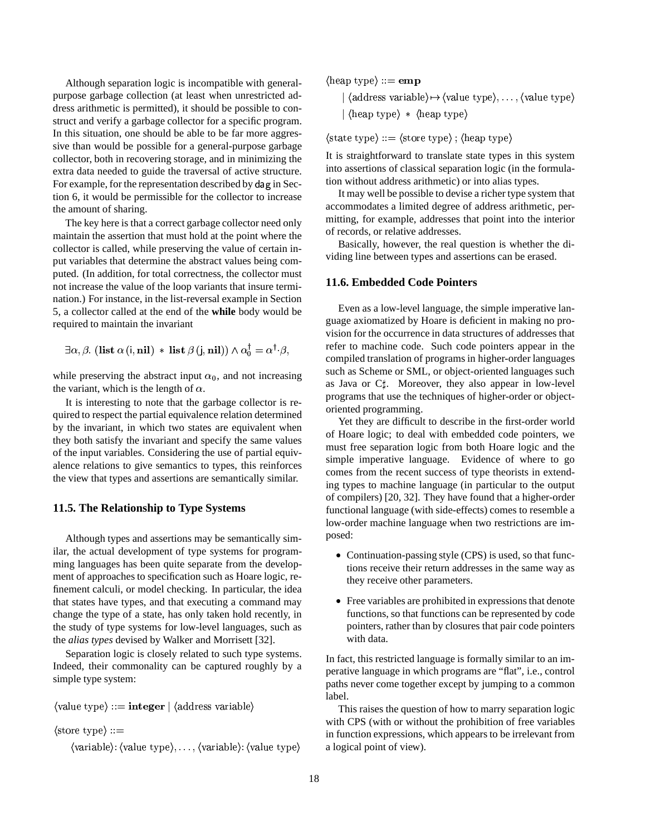Although separation logic is incompatible with generalpurpose garbage collection (at least when unrestricted address arithmetic is permitted), it should be possible to construct and verify a garbage collector for a specific program. In this situation, one should be able to be far more aggressive than would be possible for a general-purpose garbage collector, both in recovering storage, and in minimizing the extra data needed to guide the traversal of active structure. For example, for the representation described by dag in Section 6, it would be permissible for the collector to increase the amount of sharing.

The key here is that a correct garbage collector need only maintain the assertion that must hold at the point where the collector is called, while preserving the value of certain input variables that determine the abstract values being computed. (In addition, for total correctness, the collector must not increase the value of the loop variants that insure termination.) For instance, in the list-reversal example in Section 5, a collector called at the end of the **while** body would be required to maintain the invariant

$$
\exists \alpha, \beta. \ (\mathbf{list}\ \alpha\ (\mathsf{i}, \mathbf{nil}) \ * \ \mathbf{list}\ \beta\ (\mathsf{j}, \mathbf{nil})) \land \alpha_0^\dagger = \alpha^\dagger \cdot \beta,
$$

while preserving the abstract input  $\alpha_0$ , and not increasing the variant, which is the length of  $\alpha$ .

It is interesting to note that the garbage collector is required to respect the partial equivalence relation determined by the invariant, in which two states are equivalent when they both satisfy the invariant and specify the same values of the input variables. Considering the use of partial equivalence relations to give semantics to types, this reinforces the view that types and assertions are semantically similar.

#### **11.5. The Relationship to Type Systems**

Although types and assertions may be semantically similar, the actual development of type systems for programming languages has been quite separate from the development of approaches to specification such as Hoare logic, refinement calculi, or model checking. In particular, the idea that states have types, and that executing a command may change the type of a state, has only taken hold recently, in the study of type systems for low-level languages, such as the *alias types* devised by Walker and Morrisett [32].

Separation logic is closely related to such type systems. Indeed, their commonality can be captured roughly by a simple type system:

 $\cdot$  , and the contract of the contract of the contract of the contract of the contract of the contract of the contract of the contract of the contract of the contract of the contract of the contract of the contract of th

 $\mathbf{1}$  4  $\mathbf{1}$  4  $\mathbf{1}$  4  $\mathbf{1}$  4  $\mathbf{1}$  4  $\mathbf{1}$  4  $\mathbf{1}$  4  $\mathbf{1}$  4  $\mathbf{1}$  4  $\mathbf{1}$  4  $\mathbf{1}$  4  $\mathbf{1}$  4  $\mathbf{1}$  4  $\mathbf{1}$  4  $\mathbf{1}$  4  $\mathbf{1}$  4  $\mathbf{1}$  4  $\mathbf{1}$  4  $\mathbf{1}$  4  $\mathbf{1}$  4

 $\langle {\rm variable} \rangle$ :  $\langle {\rm value \ type} \rangle, \ldots, \langle {\rm variable} \rangle$ :  $\langle {\rm value \ type} \rangle$ 

 $\langle \text{heap type} \rangle ::= \textbf{emp}$ 

 $\langle \text{address variable} \rangle \mapsto \langle \text{value type} \rangle, \dots, \langle \text{value type} \rangle$ 

 $\langle$  (heap type)  $*$   $\langle$  heap type)

 $\cdot$  4  $\cdot$  4  $\cdot$  4  $\cdot$  4  $\cdot$  4  $\cdot$  4  $\cdot$  4  $\cdot$  4  $\cdot$  4  $\cdot$  4  $\cdot$  4  $\cdot$  4  $\cdot$  4  $\cdot$  4  $\cdot$  4  $\cdot$  4  $\cdot$  4  $\cdot$  4  $\cdot$  4  $\cdot$  4  $\cdot$  4  $\cdot$  4  $\cdot$  4  $\cdot$  4  $\cdot$  4  $\cdot$  4  $\cdot$  4  $\cdot$  4  $\cdot$  4  $\cdot$  4  $\cdot$  4  $\cdot$ 

It is straightforward to translate state types in this system into assertions of classical separation logic (in the formulation without address arithmetic) or into alias types.

It may well be possible to devise a richer type system that accommodates a limited degree of address arithmetic, permitting, for example, addresses that point into the interior of records, or relative addresses.

Basically, however, the real question is whether the dividing line between types and assertions can be erased.

## **11.6. Embedded Code Pointers**

Even as a low-level language, the simple imperative language axiomatized by Hoare is deficient in making no provision for the occurrence in data structures of addresses that refer to machine code. Such code pointers appear in the compiled translation of programs in higher-order languages such as Scheme or SML, or object-oriented languages such as Java or  $C \sharp$ . Moreover, they also appear in low-level programs that use the techniques of higher-order or objectoriented programming.

Yet they are difficult to describe in the first-order world of Hoare logic; to deal with embedded code pointers, we must free separation logic from both Hoare logic and the simple imperative language. Evidence of where to go comes from the recent success of type theorists in extending types to machine language (in particular to the output of compilers) [20, 32]. They have found that a higher-order functional language (with side-effects) comes to resemble a low-order machine language when two restrictions are imposed:

- Continuation-passing style (CPS) is used, so that functions receive their return addresses in the same way as they receive other parameters.
- Free variables are prohibited in expressions that denote functions, so that functions can be represented by code pointers, rather than by closures that pair code pointers with data.

In fact, this restricted language is formally similar to an imperative language in which programs are "flat", i.e., control paths never come together except by jumping to a common label.

This raises the question of how to marry separation logic with CPS (with or without the prohibition of free variables in function expressions, which appears to be irrelevant from a logical point of view).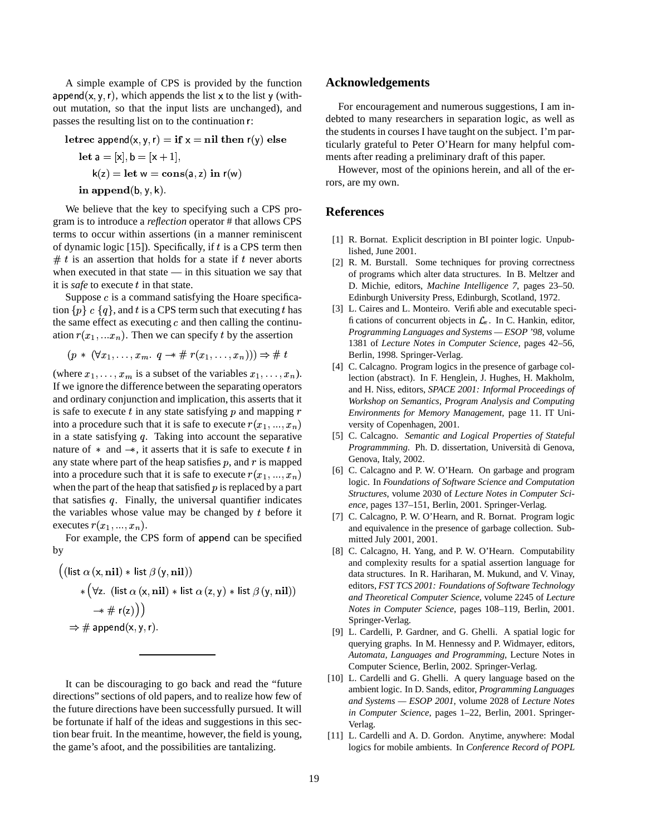A simple example of CPS is provided by the function append $(x, y, r)$ , which appends the list x to the list y (without mutation, so that the input lists are unchanged), and passes the resulting list on to the continuation :

$$
letrec append(x, y, r) = if x = nil then r(y) else t
$$

let 
$$
a = [x], b = [x + 1],
$$
  
\n $k(z) = \text{let } w = \text{cons}(a, z) \text{ in } r(w)$   
\nin  $\text{append}(b, y, k).$ 

We believe that the key to specifying such a CPS program is to introduce a *reflection* operator # that allows CPS terms to occur within assertions (in a manner reminiscent of dynamic logic  $[15]$ ). Specifically, if t is a CPS term then  $# t$  is an assertion that holds for a state if  $t$  never aborts when executed in that state — in this situation we say that it is  $\textit{safe}$  to execute  $t$  in that state.

Suppose  $c$  is a command satisfying the Hoare specification  $\{p\}$  c  $\{q\}$ , and t is a CPS term such that executing t has the same effect as executing  $c$  and then calling the continuation  $r(x_1, ... x_n)$ . Then we can specify t by the assertion

$$
(p * (\forall x_1, \ldots, x_m, q \rightarrow \# r(x_1, \ldots, x_n))) \Rightarrow \# t
$$

(where  $x_1, \ldots, x_m$  is a subset of the variables  $x_1, \ldots, x_n$ ). If we ignore the difference between the separating operators and ordinary conjunction and implication, this asserts that it is safe to execute  $t$  in any state satisfying  $p$  and mapping  $r$ into a procedure such that it is safe to execute  $r(x_1, ..., x_n)$ in a state satisfying  $q$ . Taking into account the separative nature of  $*$  and  $-*$ , it asserts that it is safe to execute t in any state where part of the heap satisfies  $p$ , and  $r$  is mapped into a procedure such that it is safe to execute  $r(x_1, ..., x_n)$ when the part of the heap that satisfied  $p$  is replaced by a part that satisfies  $q$ . Finally, the universal quantifier indicates the variables whose value may be changed by  $t$  before it executes  $r(x_1, ..., x_n)$ .

For example, the CPS form of append can be specified by

$$
((\text{list } \alpha \ (\mathbf{x}, \mathbf{nil}) \ * \ \text{list } \beta \ (\mathbf{y}, \mathbf{nil}))
$$

$$
*(\forall z. \ (\text{list } \alpha \ (\mathbf{x}, \mathbf{nil}) \ * \ \text{list } \alpha \ (\mathbf{z}, \mathbf{y}) \ * \ \text{list } \beta \ (\mathbf{y}, \mathbf{nil}))
$$

$$
\rightarrow \# \ r(\mathbf{z}))
$$

$$
\Rightarrow \# \ \text{append}(x, y, r).
$$

It can be discouraging to go back and read the "future directions" sections of old papers, and to realize how few of the future directions have been successfully pursued. It will be fortunate if half of the ideas and suggestions in this section bear fruit. In the meantime, however, the field is young, the game's afoot, and the possibilities are tantalizing.

# **Acknowledgements**

For encouragement and numerous suggestions, I am indebted to many researchers in separation logic, as well as the students in courses I have taught on the subject. I'm particularly grateful to Peter O'Hearn for many helpful comments after reading a preliminary draft of this paper.

However, most of the opinions herein, and all of the errors, are my own.

# **References**

- [1] R. Bornat. Explicit description in BI pointer logic. Unpublished, June 2001.
- [2] R. M. Burstall. Some techniques for proving correctness of programs which alter data structures. In B. Meltzer and D. Michie, editors, *Machine Intelligence 7*, pages 23–50. Edinburgh University Press, Edinburgh, Scotland, 1972.
- [3] L. Caires and L. Monteiro. Verifi able and executable specifications of concurrent objects in  $\mathcal{L}_{\pi}$ . In C. Hankin, editor, *Programming Languages and Systems — ESOP '98*, volume 1381 of *Lecture Notes in Computer Science*, pages 42–56, Berlin, 1998. Springer-Verlag.
- [4] C. Calcagno. Program logics in the presence of garbage collection (abstract). In F. Henglein, J. Hughes, H. Makholm, and H. Niss, editors, *SPACE 2001: Informal Proceedings of Workshop on Semantics, Program Analysis and Computing Environments for Memory Management*, page 11. IT University of Copenhagen, 2001.
- [5] C. Calcagno. *Semantic and Logical Properties of Stateful Programmming*. Ph. D. dissertation, Universita` di Genova, Genova, Italy, 2002.
- [6] C. Calcagno and P. W. O'Hearn. On garbage and program logic. In *Foundations of Software Science and Computation Structures*, volume 2030 of *Lecture Notes in Computer Science*, pages 137–151, Berlin, 2001. Springer-Verlag.
- [7] C. Calcagno, P. W. O'Hearn, and R. Bornat. Program logic and equivalence in the presence of garbage collection. Submitted July 2001, 2001.
- [8] C. Calcagno, H. Yang, and P. W. O'Hearn. Computability and complexity results for a spatial assertion language for data structures. In R. Hariharan, M. Mukund, and V. Vinay, editors, *FST TCS 2001: Foundations of Software Technology and Theoretical Computer Science*, volume 2245 of *Lecture Notes in Computer Science*, pages 108–119, Berlin, 2001. Springer-Verlag.
- [9] L. Cardelli, P. Gardner, and G. Ghelli. A spatial logic for querying graphs. In M. Hennessy and P. Widmayer, editors, *Automata, Languages and Programming*, Lecture Notes in Computer Science, Berlin, 2002. Springer-Verlag.
- [10] L. Cardelli and G. Ghelli. A query language based on the ambient logic. In D. Sands, editor, *Programming Languages and Systems — ESOP 2001*, volume 2028 of *Lecture Notes in Computer Science*, pages 1–22, Berlin, 2001. Springer-Verlag.
- [11] L. Cardelli and A. D. Gordon. Anytime, anywhere: Modal logics for mobile ambients. In *Conference Record of POPL*